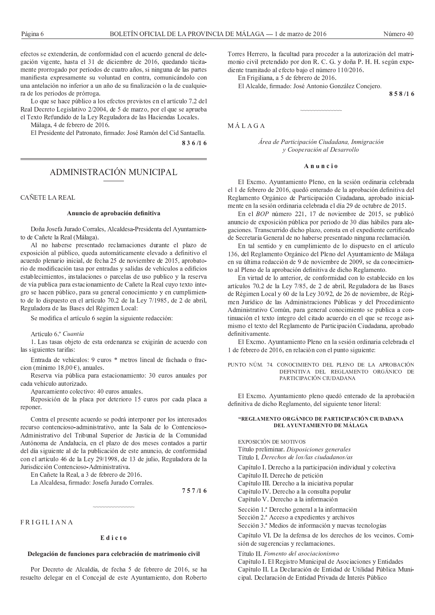efectos se extenderán, de conformidad con el acuerdo general de delegación vigente, hasta el 31 de diciembre de 2016, quedando tácitamente prorrogado por períodos de cuatro años, si ninguna de las partes manifiesta expresamente su voluntad en contra, comunicándolo con una antelación no inferior a un año de su finalización o la de cualquiera de los periodos de prórroga.

Lo que se hace público a los efectos previstos en el artículo 7.2 del Real Decreto Legislativo 2/2004, de 5 de marzo, por el que se aprueba el Texto Refundido de la Ley Reguladora de las Haciendas Locales.

Málaga. 4 de febrero de 2016.

El Presidente del Patronato, firmado: José Ramón del Cid Santaella. 836/16

ADMINISTRACIÓN MUNICIPAL

# CAÑETE LA REAL

# Anuncio de aprobación definitiva

Doña Josefa Jurado Corrales, Alcaldesa-Presidenta del Ayuntamiento de Cañete la Real (Málaga).

Al no haberse presentado reclamaciones durante el plazo de exposición al público, queda automáticamente elevado a definitivo el acuerdo plenario inicial, de fecha 25 de noviembre de 2015, aprobatorio de modificación tasa por entradas y salidas de vehículos a edificios establecimientos, instalaciones o parcelas de uso publico y la reserva de vía publica para estacionamiento de Cañete la Real cuyo texto íntegro se hacen público, para su general conocimiento y en cumplimiento de lo dispuesto en el artículo 70.2 de la Ley 7/1985, de 2 de abril, Reguladora de las Bases del Régimen Local:

Se modifica el artículo 6 según la siguiente redacción:

Artículo 6.º Cuantía

1. Las tasas objeto de esta ordenanza se exigirán de acuerdo con las siguientes tarifas:

Entrada de vehículos: 9 euros \* metros lineal de fachada o fraccion (mínimo 18,00 €), anuales.

Reserva vía pública para estacionamiento: 30 euros anuales por cada vehículo autorizado.

Aparcamiento colectivo: 40 euros anuales.

Reposición de la placa por deterioro 15 euros por cada placa a reponer.

Contra el presente acuerdo se podrá interponer por los interesados recurso contencioso-administrativo, ante la Sala de lo Contencioso-Administrativo del Tribunal Superior de Justicia de la Comunidad Autónoma de Andalucía, en el plazo de dos meses contados a partir del día siguiente al de la publicación de este anuncio, de conformidad con el artículo 46 de la Ley 29/1998, de 13 de julio, Reguladora de la Jurisdicción Contencioso-Administrativa.

En Cañete la Real, a 3 de febrero de 2016.

La Alcaldesa, firmado: Josefa Jurado Corrales.

 $757/16$ 

FRIGILIANA

#### Edicto

# Delegación de funciones para celebración de matrimonio civil

Por Decreto de Alcaldía, de fecha 5 de febrero de 2016, se ha resuelto delegar en el Concejal de este Ayuntamiento, don Roberto Torres Herrero, la facultad para proceder a la autorización del matrimonio civil pretendido por don R. C. G. y doña P. H. H. según expediente tramitado al efecto bajo el número 110/2016.

En Frigiliana, a 5 de febrero de 2016.

El Alcalde, firmado: José Antonio González Conejero.

858/16

MÁLAGA

Área de Participación Ciudadana, Inmigración y Cooperación al Desarrollo

#### Anuncio

El Excmo. Ayuntamiento Pleno, en la sesión ordinaria celebrada el 1 de febrero de 2016, quedó enterado de la aprobación definitiva del Reglamento Orgánico de Participación Ciudadana, aprobado inicialmente en la sesión ordinaria celebrada el día 29 de octubre de 2015.

En el BOP número 221, 17 de noviembre de 2015, se publicó anuncio de exposición pública por periodo de 30 días hábiles para alegaciones. Transcurrido dicho plazo, consta en el expediente certificado de Secretaría General de no haberse presentado ninguna reclamación.

En tal sentido y en cumplimiento de lo dispuesto en el artículo 136, del Reglamento Orgánico del Pleno del Ayuntamiento de Málaga en su última redacción de 9 de noviembre de 2009, se da conocimiento al Pleno de la aprobación definitiva de dicho Reglamento.

En virtud de lo anterior, de conformidad con lo establecido en los artículos 70.2 de la Ley 7/85, de 2 de abril, Reguladora de las Bases de Régimen Local y 60 de la Ley 30/92, de 26 de noviembre, de Régimen Jurídico de las Administraciones Públicas y del Procedimiento Administrativo Común, para general conocimiento se publica a continuación el texto íntegro del citado acuerdo en el que se recoge asimismo el texto del Reglamento de Participación Ciudadana, aprobado definitivamente

El Excmo. Ayuntamiento Pleno en la sesión ordinaria celebrada el 1 de febrero de 2016, en relación con el punto siguiente:

PUNTO NÚM. 74. CONOCIMIENTO DEL PLENO DE LA APROBACIÓN DEFINITIVA DEL REGLAMENTO ORGÁNICO DE PARTICIPACIÓN CIUDADANA

El Excmo. Ayuntamiento pleno quedó enterado de la aprobación definitiva de dicho Reglamento, del siguiente tenor literal:

# "REGLAMENTO ORGÁNICO DE PARTICIPACIÓN CIUDADANA DEL AYUNTAMIENTO DE MÁLAGA

EXPOSICIÓN DE MOTIVOS Título preliminar. Disposiciones generales

Título I. Derechos de los/las ciudadanos/as

Capítulo I. Derecho a la participación individual y colectiva

Capítulo II. Derecho de petición

Capítulo III. Derecho a la iniciativa popular

Capítulo IV. Derecho a la consulta popular

Capítulo V. Derecho a la información

Sección 1<sup>ª</sup> Derecho general a la información

Sección 2.ª Acceso a expedientes y archivos

Sección 3.ª Medios de información y nuevas tecnologías

Capítulo VI. De la defensa de los derechos de los vecinos. Comisión de sugerencias y reclamaciones.

Título II. Fomento del asociacionismo

Capítulo I. El Registro Municipal de Asociaciones y Entidades Capítulo II. La Declaración de Entidad de Utilidad Pública Municipal. Declaración de Entidad Privada de Interés Público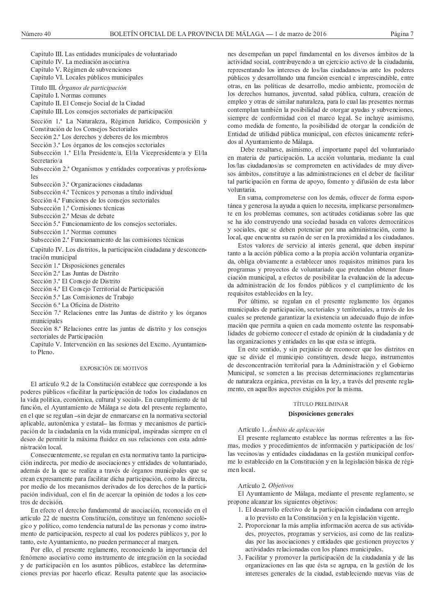Capítulo III. Las entidades municipales de voluntariado

Capítulo IV. La mediación asociativa

Capítulo V. Régimen de subvenciones

Capítulo VI. Locales públicos municipales

Título III. Órganos de participación

Capítulo I. Normas comunes

Capítulo II. El Consejo Social de la Ciudad

Capítulo III. Los consejos sectoriales de participación

Sección 1.ª La Naturaleza, Régimen Jurídico, Composición y Constitución de los Consejos Sectoriales

Sección 2.ª Los derechos y deberes de los miembros

Sección 3.ª Los órganos de los consejos sectoriales

Subsección 1.ª El/la Presidente/a, El/la Vicepresidente/a y El/la Secretario/a

Subsección 2ª Organismos y entidades corporativas y profesiona-<sub>les</sub>

Subsección 3<sup>ª</sup> Organizaciones ciudadanas

Subsección 4.ª Técnicos y personas a título individual

Sección 4.ª Funciones de los consejos sectoriales

Subsección 1.ª Comisiones técnicas

Subsección 2<sup>ª</sup> Mesas de debate

Sección 5.ª Funcionamiento de los consejos sectoriales.

Subsección 1.ª Normas comunes

Subsección 2<sup>ª</sup> Funcionamiento de las comisiones técnicas

Capítulo IV. Los distritos, la participación ciudadana y desconcentración municipal

Sección 1.ª Disposiciones generales

Sección 2.ª Las Juntas de Distrito

Sección 3.ª El Consejo de Distrito

Sección 4.ª El Consejo Territorial de Participación

Sección 5.ª Las Comisiones de Trabajo

Sección 6.ª La Oficina de Distrito

Sección 7.ª Relaciones entre las Juntas de distrito y los órganos municipales

Sección 8.ª Relaciones entre las juntas de distrito y los consejos sectoriales de Participación

Capítulo V. Intervención en las sesiones del Excmo. Ayuntamiento Pleno.

#### EXPOSICIÓN DE MOTIVOS

El artículo 9.2 de la Constitución establece que corresponde a los poderes públicos «facilitar la participación de todos los ciudadanos en la vida política, económica, cultural y social». En cumplimiento de tal función, el Ayuntamiento de Málaga se dota del presente reglamento, en el que se regulan -sin dejar de enmarcarse en la normativa sectorial aplicable, autonómica y estatal- las formas y mecanismos de participación de la ciudadanía en la vida municipal, inspiradas siempre en el deseo de permitir la máxima fluidez en sus relaciones con esta administración local.

Consecuentemente, se regulan en esta normativa tanto la participación indirecta, por medio de asociaciones y entidades de voluntariado, además de la que se realiza a través de órganos municipales que se crean expresamente para facilitar dicha participación, como la directa, por medio de los mecanismos derivados de los derechos de la participación individual, con el fin de acercar la opinión de todos a los centros de decisión

En efecto el derecho fundamental de asociación, reconocido en el artículo 22 de nuestra Constitución, constituye un fenómeno sociológico y político, como tendencia natural de las personas y como instrumento de participación, respecto al cual los poderes públicos y, por lo tanto, este Ayuntamiento, no pueden permanecer al margen.

Por ello, el presente reglamento, reconociendo la importancia del fenómeno asociativo como instrumento de integración en la sociedad y de participación en los asuntos públicos, establece las determinaciones previas por hacerlo eficaz. Resulta patente que las asociaciones desempeñan un papel fundamental en los diversos ámbitos de la actividad social, contribuyendo a un ejercicio activo de la ciudadanía, representando los intereses de los/las ciudadanos/as ante los poderes públicos y desarrollando una función esencial e imprescindible, entre otras, en las políticas de desarrollo, medio ambiente, promoción de los derechos humanos, juventud, salud pública, cultura, creación de empleo y otras de similar naturaleza, para lo cual las presentes normas contemplan también la posibilidad de otorgar ayudas y subvenciones, siempre de conformidad con el marco legal. Se incluye asimismo, como medida de fomento, la posibilidad de otorgar la condición de Entidad de utilidad pública municipal, con efectos únicamente referidos al Ayuntamiento de Málaga.

Debe resaltarse, asimismo, el importante papel del voluntariado en materia de participación. La acción voluntaria, mediante la cual los/las ciudadanos/as se comprometen en actividades de muy diversos ámbitos, constituye a las administraciones en el deber de facilitar tal participación en forma de apoyo, fomento y difusión de esta labor voluntaria.

En suma, comprometerse con los demás, ofrecer de forma espontánea y generosa la ayuda a quien lo necesita, implicarse personalmente en los problemas comunes, son actitudes cotidianas sobre las que se ha ido construyendo una sociedad basada en valores democráticos y sociales, que se deben potenciar por una administración, como la local, que encuentra su razón de ser en la proximidad a los ciudadanos.

Estos valores de servicio al interés general, que deben inspirar tanto a la acción pública como a la propia acción voluntaria organizada, obliga obviamente a establecer unos requisitos mínimos para los programas y proyectos de voluntariado que pretendan obtener financiación municipal, a efectos de posibilitar la evaluación de la adecuada administración de los fondos públicos y el cumplimiento de los requisitos establecidos en la ley.

Por último, se regulan en el presente reglamento los órganos municipales de participación, sectoriales y territoriales, a través de los cuales se pretende garantizar la existencia un adecuado flujo de información que permita a quien en cada momento ostente las responsabilidades de gobierno conocer el estado de opinión de la ciudadanía y de las organizaciones y entidades en las que esta se integra.

En este sentido, y sin perjuicio de reconocer que los distritos en que se divide el municipio constituyen, desde luego, instrumentos de desconcentración territorial para la Administración y el Gobierno Municipal, se someten a las precisas determinaciones reglamentarias de naturaleza orgánica, previstas en la ley, a través del presente reglamento, en aquellos aspectos exigidos por la misma.

# TÍTULO PRELIMINAR

#### Disposiciones generales

#### Artículo 1. Ámbito de aplicación

El presente reglamento establece las normas referentes a las formas, medios y procedimientos de información y participación de los/ las vecinos/as y entidades ciudadanas en la gestión municipal conforme lo establecido en la Constitución y en la legislación básica de régimen local

#### Artículo 2. Objetivos

El Ayuntamiento de Málaga, mediante el presente reglamento, se propone alcanzar los siguientes objetivos:

- 1. El desarrollo efectivo de la participación ciudadana con arreglo a lo previsto en la Constitución y en la legislación vigente.
- 2. Proporcionar la más amplia información acerca de sus actividades, proyectos, programas y servicios, así como de las realizadas por las asociaciones y entidades que gestionen proyectos y actividades relacionadas con los planes municipales.
- 3. Facilitar y promover la participación de la ciudadanía y de las organizaciones en las que ésta se agrupa, en la gestión de los intereses generales de la ciudad, estableciendo nuevas vías de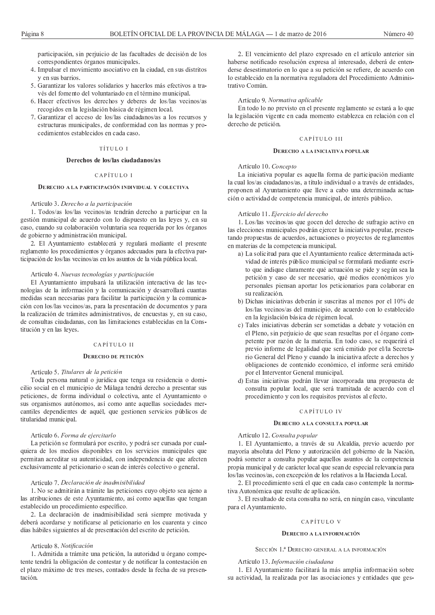participación, sin perjuicio de las facultades de decisión de los correspondientes órganos municipales.

- 4. Impulsar el movimiento asociativo en la ciudad, en sus distritos y en sus barrios.
- 5. Garantizar los valores solidarios y hacerlos más efectivos a través del fomento del voluntariado en el término municipal.
- 6. Hacer efectivos los derechos y deberes de los/las vecinos/as recogidos en la legislación básica de régimen local.
- 7. Garantizar el acceso de los/las ciudadanos/as a los recursos y estructuras municipales, de conformidad con las normas y procedimientos establecidos en cada caso.

# TÍTULO I

# Derechos de los/las ciudadanos/as

# $CAPÍTHLOI$

# DERECHO A LA PARTICIPACIÓN INDIVIDUAL Y COLECTIVA

# Artículo 3. Derecho a la participación

1. Todos/as los/las vecinos/as tendrán derecho a participar en la gestión municipal de acuerdo con lo dispuesto en las leyes y, en su caso, cuando su colaboración voluntaria sea requerida por los órganos de gobierno y administración municipal.

2. El Ayuntamiento establecerá y regulará mediante el presente reglamento los procedimientos y órganos adecuados para la efectiva participación de los/las vecinos/as en los asuntos de la vida pública local.

# Artículo 4. Nuevas tecnologías y participación

El Ayuntamiento impulsará la utilización interactiva de las tecnologías de la información y la comunicación y desarrollará cuantas medidas sean necesarias para facilitar la participación y la comunicación con los/las vecinos/as, para la presentación de documentos y para la realización de trámites administrativos, de encuestas y, en su caso, de consultas ciudadanas, con las limitaciones establecidas en la Constitución y en las leyes.

# CAPÍTULO II

#### DERECHO DE PETICIÓN

# Artículo 5. Titulares de la petición

Toda persona natural o jurídica que tenga su residencia o domicilio social en el municipio de Málaga tendrá derecho a presentar sus peticiones, de forma individual o colectiva, ante el Ayuntamiento o sus organismos autónomos, así como ante aquellas sociedades mercantiles dependientes de aquél, que gestionen servicios públicos de titularidad municipal.

# Artículo 6. Forma de ejercitarlo

La petición se formulará por escrito, y podrá ser cursada por cualquiera de los medios disponibles en los servicios municipales que permitan acreditar su autenticidad, con independencia de que afecten exclusivamente al peticionario o sean de interés colectivo o general.

# Artículo 7. Declaración de inadmisibilidad

1. No se admitirán a trámite las peticiones cuyo objeto sea ajeno a las atribuciones de este Ayuntamiento, así como aquellas que tengan establecido un procedimiento específico.

2. La declaración de inadmisibilidad será siempre motivada y deberá acordarse y notificarse al peticionario en los cuarenta y cinco días hábiles siguientes al de presentación del escrito de petición.

# Artículo 8 Notificación

1. Admitida a trámite una petición, la autoridad u órgano competente tendrá la obligación de contestar y de notificar la contestación en el plazo máximo de tres meses, contados desde la fecha de su presentación.

2. El vencimiento del plazo expresado en el artículo anterior sin haberse notificado resolución expresa al interesado, deberá de entenderse desestimatorio en lo que a su petición se refiere, de acuerdo con lo establecido en la normativa reguladora del Procedimiento Administrativo Común

# Artículo 9. Normativa aplicable

En todo lo no previsto en el presente reglamento se estará a lo que la legislación vigente en cada momento establezca en relación con el derecho de petición.

# CAPÍTULO III

#### DERECHO A LA INICIATIVA POPULAR

# Artículo 10. Concepto

La iniciativa popular es aquella forma de participación mediante la cual los/as ciudadanos/as, a título individual o a través de entidades, proponen al Ayuntamiento que lleve a cabo una determinada actuación o actividad de competencia municipal, de interés público.

## Artículo 11. Ejercicio del derecho

1. Los/las vecinos/as que gocen del derecho de sufragio activo en las elecciones municipales podrán ejercer la iniciativa popular, presentando propuestas de acuerdos, actuaciones o provectos de reglamentos en materias de la competencia municipal.

- a) La solicitud para que el Ayuntamiento realice determinada actividad de interés público municipal se formulará mediante escrito que indique claramente qué actuación se pide y según sea la petición y caso de ser necesario, qué medios económicos y/o personales piensan aportar los peticionarios para colaborar en su realización.
- b) Dichas iniciativas deberán ir suscritas al menos por el 10% de los/las vecinos/as del municipio, de acuerdo con lo establecido en la legislación básica de régimen local.
- c) Tales iniciativas deberán ser sometidas a debate y votación en el Pleno, sin perjuicio de que sean resueltas por el órgano competente por razón de la materia. En todo caso, se requerirá el previo informe de legalidad que será emitido por el/la Secretario General del Pleno y cuando la iniciativa afecte a derechos y obligaciones de contenido económico, el informe será emitido por el Interventor General municipal.
- d) Estas iniciativas podrán llevar incorporada una propuesta de consulta popular local, que será tramitada de acuerdo con el procedimiento y con los requisitos previstos al efecto.

## CAPÍTULO IV

# DERECHO A LA CONSULTA POPULAR

# Artículo 12. Consulta popular

1. El Ayuntamiento, a través de su Alcaldía, previo acuerdo por mayoría absoluta del Pleno y autorización del gobierno de la Nación, podrá someter a consulta popular aquellos asuntos de la competencia propia municipal y de carácter local que sean de especial relevancia para los/las vecinos/as, con excepción de los relativos a la Hacienda Local.

2. El procedimiento será el que en cada caso contemple la normativa Autonómica que resulte de aplicación.

3. El resultado de esta consulta no será, en ningún caso, vinculante para el Ayuntamiento.

#### CAPÍTULO V

## DERECHO A LA INFORMACIÓN

SECCIÓN 1.ª DERECHO GENERAL A LA INFORMACIÓN

#### Artículo 13. Información ciudadana

1. El Ayuntamiento facilitará la más amplia información sobre su actividad, la realizada por las asociaciones y entidades que ges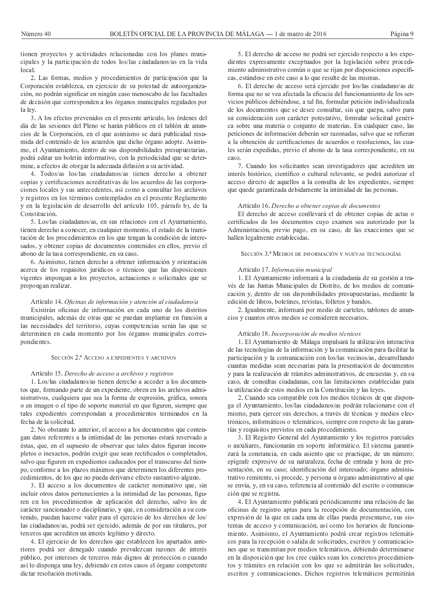tionen proyectos y actividades relacionadas con los planes municipales y la participación de todos los/las ciudadanos/as en la vida local.

2. Las formas, medios y procedimientos de participación que la Corporación establezca, en ejercicio de su potestad de autoorganización, no podrán significar en ningún caso menoscabo de las facultades de decisión que corresponden a los órganos municipales regulados por la lev.

3. A los efectos prevenidos en el presente artículo, los órdenes del día de las sesiones del Pleno se harán públicos en el tablón de anuncios de la Corporación, en el que asimismo se dará publicidad resumida del contenido de los acuerdos que dicho órgano adopte. Asimismo, el Ayuntamiento, dentro de sus disponibilidades presupuestarias, podrá editar un boletín informativo, con la periodicidad que se determine, a efectos de otorgar la adecuada difusión a su actividad.

4. Todos/as los/las ciudadanos/as tienen derecho a obtener copias y certificaciones acreditativas de los acuerdos de las corporaciones locales y sus antecedentes, así como a consultar los archivos y registros en los términos contemplados en el presente Reglamento y en la legislación de desarrollo del artículo 105, párrafo b), de la Constitución.

5. Los/las ciudadanos/as, en sus relaciones con el Ayuntamiento, tienen derecho a conocer, en cualquier momento, el estado de la tramitación de los procedimientos en los que tengan la condición de interesados, y obtener copias de documentos contenidos en ellos, previo el abono de la tasa correspondiente, en su caso.

6. Asimismo, tienen derecho a obtener información y orientación acerca de los requisitos jurídicos o técnicos que las disposiciones vigentes impongan a los proyectos, actuaciones o solicitudes que se propongan realizar.

# Artículo 14. Oficinas de información y atención al ciudadano/a

Existirán oficinas de información en cada uno de los distritos municipales, además de otras que se puedan implantar en función a las necesidades del territorio, cuyas competencias serán las que se determinen en cada momento por los órganos municipales correspondientes.

#### SECCIÓN 2.ª ACCESO A EXPEDIENTES Y ARCHIVOS

# Artículo 15. Derecho de acceso a archivos y registros

1. Los/las ciudadanos/as tienen derecho a acceder a los documentos que, formando parte de un expediente, obren en los archivos administrativos, cualquiera que sea la forma de expresión, gráfica, sonora o en imagen o el tipo de soporte material en que figuren, siempre que tales expedientes correspondan a procedimientos terminados en la fecha de la solicitud.

2. No obstante lo anterior, el acceso a los documentos que contengan datos referentes a la intimidad de las personas estará reservado a éstas, que, en el supuesto de observar que tales datos figuran incompletos o inexactos, podrán exigir que sean rectificados o completados, salvo que figuren en expedientes caducados por el transcurso del tiempo, conforme a los plazos máximos que determinen los diferentes procedimientos, de los que no pueda derivarse efecto sustantivo alguno.

3. El acceso a los documentos de carácter nominativo que, sin incluir otros datos pertenecientes a la intimidad de las personas, figuren en los procedimientos de aplicación del derecho, salvo los de carácter sancionador o disciplinario, y que, en consideración a su contenido, puedan hacerse valer para el ejercicio de los derechos de los/ las ciudadanos/as, podrá ser ejercido, además de por sus titulares, por terceros que acrediten un interés legítimo y directo.

4. El ejercicio de los derechos que establecen los apartados anteriores podrá ser denegado cuando prevalezcan razones de interés público, por intereses de terceros más dignos de protección o cuando así lo disponga una ley, debiendo en estos casos el órgano competente dictar resolución motivada.

5. El derecho de acceso no podrá ser ejercido respecto a los expedientes expresamente exceptuados por la legislación sobre procedimiento administrativo común o que se rijan por disposiciones específicas, estándose en este caso a lo que resulte de las mismas.

6. El derecho de acceso será ejercido por los/las ciudadano/as de forma que no se vea afectada la eficacia del funcionamiento de los servicios públicos debiéndose, a tal fin, formular petición individualizada de los documentos que se desee consultar, sin que quepa, salvo para su consideración con carácter potestativo, formular solicitud genérica sobre una materia o conjunto de materias. En cualquier caso, las peticiones de información deberán ser razonadas, salvo que se refieran a la obtención de certificaciones de acuerdos o resoluciones, las cuales serán expedidas, previo el abono de la tasa correspondiente, en su  $caseO$ 

7. Cuando los solicitantes sean investigadores que acrediten un interés histórico, científico o cultural relevante, se podrá autorizar el acceso directo de aquellos a la consulta de los expedientes, siempre que quede garantizada debidamente la intimidad de las personas.

#### Artículo 16. Derecho a obtener copias de documentos

El derecho de acceso conllevará el de obtener copias de actas o certificados de los documentos cuyo examen sea autorizado por la Administración, previo pago, en su caso, de las exacciones que se hallen legalmente establecidas.

SECCIÓN 3.ª MEDIOS DE INFORMACIÓN Y NUEVAS TECNOLOGÍAS

#### Artículo 17. Información municipal

1. El Ayuntamiento informará a la ciudadanía de su gestión a través de las Juntas Municipales de Distrito, de los medios de comunicación y, dentro de sus disponibilidades presupuestarias, mediante la edición de libros, boletines, revistas, folletos y bandos.

2. Igualmente, informará por medio de carteles, tablones de anuncios y cuantos otros medios se consideren necesarios.

#### Artículo 18. Incorporación de medios técnicos

1. El Ayuntamiento de Málaga impulsará la utilización interactiva de las tecnologías de la información y la comunicación para facilitar la participación y la comunicación con los/las vecinos/as, desarrollando cuantas medidas sean necesarias para la presentación de documentos y para la realización de trámites administrativos, de encuestas y, en su caso, de consultas ciudadanas, con las limitaciones establecidas para la utilización de estos medios en la Constitución y las leyes.

2. Cuando sea compatible con los medios técnicos de que disponga el Ayuntamiento, los/las ciudadanos/as podrán relacionarse con el mismo, para ejercer sus derechos, a través de técnicas y medios electrónicos, informáticos o telemáticos, siempre con respeto de las garantías y requisitos previstos en cada procedimiento.

3. El Registro General del Ayuntamiento y los registros parciales o auxiliares, funcionarán en soporte informático. El sistema garantizará la constancia, en cada asiento que se practique, de un número; epígrafe expresivo de su naturaleza; fecha de entrada y hora de presentación, en su caso: identificación del interesado: órgano administrativo remitente, si procede, y persona u órgano administrativo al que se envía, y, en su caso, referencia al contenido del escrito o comunicación que se registra.

4. El Ayuntamiento publicará periódicamente una relación de las oficinas de registro aptas para la recepción de documentación, con expresión de la que en cada una de ellas pueda presentarse, sus sistemas de acceso y comunicación, así como los horarios de funcionamiento. Asimismo, el Ayuntamiento podrá crear registros telemáticos para la recepción o salida de solicitudes, escritos y comunicaciones que se transmitan por medios telemáticos, debiendo determinarse en la disposición que los cree cuáles sean los concretos procedimientos y trámites en relación con los que se admitirán las solicitudes, escritos y comunicaciones. Dichos registros telemáticos permitirán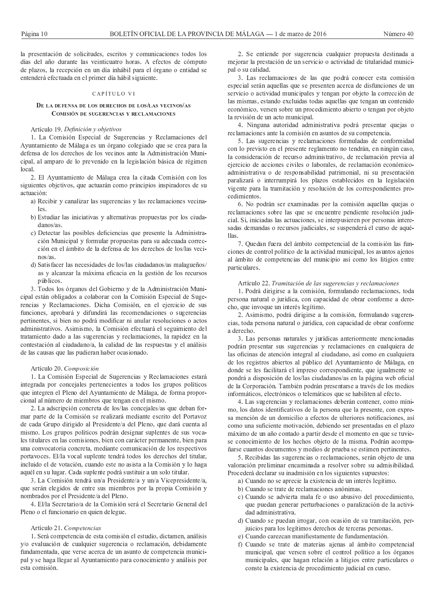la presentación de solicitudes, escritos y comunicaciones todos los días del año durante las veinticuatro horas. A efectos de cómputo de plazos, la recepción en un día inhábil para el órgano o entidad se entenderá efectuada en el primer día hábil siguiente.

# CAPÍTULO VI

#### DE LA DEFENSA DE LOS DERECHOS DE LOS/LAS VECINOS/AS COMISIÓN DE SHCERENCIAS V RECLAMACIONES

## Artículo 19. Definición y obietivos

1. La Comisión Especial de Sugerencias y Reclamaciones del Ayuntamiento de Málaga es un órgano colegiado que se crea para la defensa de los derechos de los vecinos ante la Administración Municipal, al amparo de lo prevenido en la legislación básica de régimen local.

2. El Ayuntamiento de Málaga crea la citada Comisión con los siguientes objetivos, que actuarán como principios inspiradores de su actuación:

- a) Recibir y canalizar las sugerencias y las reclamaciones vecina- $\log$
- b) Estudiar las iniciativas y alternativas propuestas por los ciuda $danos/as$ .
- c) Detectar las posibles deficiencias que presente la Administración Municipal y formular propuestas para su adecuada corrección en el ámbito de la defensa de los derechos de los/las veci $n$ os/as
- d) Satisfacer las necesidades de los/las ciudadanos/as malagueños/ as y alcanzar la máxima eficacia en la gestión de los recursos públicos.

3. Todos los órganos del Gobierno y de la Administración Municipal están obligados a colaborar con la Comisión Especial de Sugerencias y Reclamaciones. Dicha Comisión, en el ejercicio de sus funciones, aprobará y difundirá las recomendaciones o sugerencias pertinentes, si bien no podrá modificar ni anular resoluciones o actos administrativos. Asimismo, la Comisión efectuará el seguimiento del tratamiento dado a las sugerencias y reclamaciones, la rapidez en la contestación al ciudadano/a, la calidad de las respuestas y el análisis de las causas que las pudieran haber ocasionado.

#### Artículo 20. Composición

1. La Comisión Especial de Sugerencias y Reclamaciones estará integrada por concejales pertenecientes a todos los grupos políticos que integren el Pleno del Ayuntamiento de Málaga, de forma proporcional al número de miembros que tengan en el mismo.

2. La adscripción concreta de los/las concejales/as que deban formar parte de la Comisión se realizará mediante escrito del Portavoz de cada Grupo dirigido al Presidente/a del Pleno, que dará cuenta al mismo. Los grupos políticos podrán designar suplentes de sus vocales titulares en las comisiones, bien con carácter permanente, bien para una convocatoria concreta, mediante comunicación de los respectivos portavoces. El/la vocal suplente tendrá todos los derechos del titular, incluido el de votación, cuando este no asista a la Comisión y lo haga aquél en su lugar. Cada suplente podrá sustituir a un solo titular.

3. La Comisión tendrá un/a Presidente/a y un/a Vicepresidente/a, que serán elegidos de entre sus miembros por la propia Comisión y nombrados por el Presidente/a del Pleno.

4. El/la Secretario/a de la Comisión será el Secretario General del Pleno o el funcionario en quien delegue.

#### Artículo 21. Competencias

1. Será competencia de esta comisión el estudio, dictamen, análisis y/o evaluación de cualquier sugerencia o reclamación, debidamente fundamentada, que verse acerca de un asunto de competencia municipal y se haga llegar al Ayuntamiento para conocimiento y análisis por esta comisión

2. Se entiende por sugerencia cualquier propuesta destinada a mejorar la prestación de un servicio o actividad de titularidad municipal o su calidad.

3. Las reclamaciones de las que podrá conocer esta comisión especial serán aquellas que se presenten acerca de disfunciones de un servicio o actividad municipales y tengan por objeto la corrección de las mismas, estando excluidas todas aquellas que tengan un contenido económico, versen sobre un procedimiento abierto o tengan por objeto la revisión de un acto municipal.

4. Ninguna autoridad administrativa podrá presentar quejas o reclamaciones ante la comisión en asuntos de su competencia.

5. Las sugerencias y reclamaciones formuladas de conformidad con lo previsto en el presente reglamento no tendrán, en ningún caso, la consideración de recurso administrativo, de reclamación previa al ejercicio de acciones civiles o laborales, de reclamación económicoadministrativa o de responsabilidad patrimonial, ni su presentación paralizará o interrumpirá los plazos establecidos en la legislación vigente para la tramitación y resolución de los correspondientes procedimientos

6. No podrán ser examinadas por la comisión aquellas quejas o reclamaciones sobre las que se encuentre pendiente resolución judicial. Si, iniciadas las actuaciones, se interpusieren por personas interesadas demandas o recursos judiciales, se suspenderá el curso de aquéllas.

7. Quedan fuera del ámbito competencial de la comisión las funciones de control político de la actividad municipal, los asuntos ajenos al ámbito de competencias del municipio así como los litigios entre particulares.

# Artículo 22. Tramitación de las sugerencias y reclamaciones

1. Podrá dirigirse a la comisión, formulando reclamaciones, toda persona natural o jurídica, con capacidad de obrar conforme a derecho, que invoque un interés legítimo.

2. Asimismo, podrá dirigirse a la comisión, formulando sugerencias, toda persona natural o jurídica, con capacidad de obrar conforme a derecho.

3. Las personas naturales y jurídicas anteriormente mencionadas podrán presentar sus sugerencias y reclamaciones en cualquiera de las oficinas de atención integral al ciudadano, así como en cualquiera de los registros abiertos al público del Ayuntamiento de Málaga, en donde se les facilitará el impreso correspondiente, que igualmente se pondrá a disposición de los/las ciudadanos/as en la página web oficial de la Corporación. También podrán presentarse a través de los medios informáticos, electrónicos o telemáticos que se habiliten al efecto.

4. Las sugerencias y reclamaciones deberán contener, como mínimo, los datos identificativos de la persona que la presente, con expresa mención de un domicilio a efectos de ulteriores notificaciones, así como una suficiente motivación, debiendo ser presentadas en el plazo máximo de un año contado a partir desde el momento en que se tuviese conocimiento de los hechos objeto de la misma. Podrán acompañarse cuantos documentos y medios de prueba se estimen pertinentes.

5. Recibidas las sugerencias o reclamaciones, serán objeto de una valoración preliminar encaminada a resolver sobre su admisibilidad. Procederá declarar su inadmisión en los siguientes supuestos:

- a) Cuando no se aprecie la existencia de un interés legítimo.
- b) Cuando se trate de reclamaciones anónimas.
- c) Cuando se advierta mala fe o uso abusivo del procedimiento, que puedan generar perturbaciones o paralización de la actividad administrativa.
- d) Cuando se puedan irrogar, con ocasión de su tramitación, perjuicios para los legítimos derechos de terceras personas.
- e) Cuando carezcan manifiestamente de fundamentación.
- f) Cuando se trate de materias ajenas al ámbito competencial municipal, que versen sobre el control político a los órganos municipales, que hagan relación a litigios entre particulares o conste la existencia de procedimiento judicial en curso.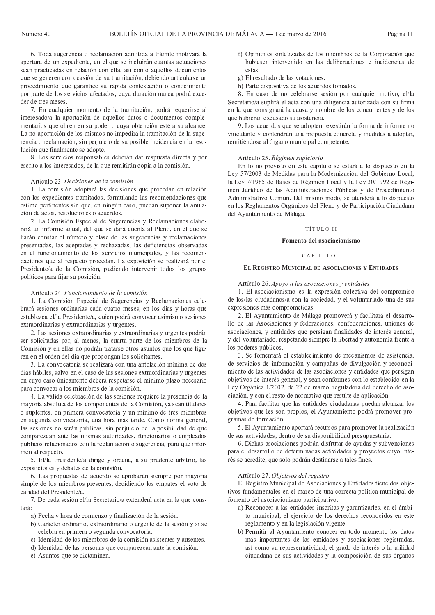6. Toda sugerencia o reclamación admitida a trámite motivará la apertura de un expediente, en el que se incluirán cuantas actuaciones sean practicadas en relación con ella, así como aquellos documentos que se generen con ocasión de su tramitación, debiendo articularse un procedimiento que garantice su rápida contestación o conocimiento por parte de los servicios afectados, cuya duración nunca podrá exceder de tres meses.

7. En cualquier momento de la tramitación, podrá requerirse al interesado/a la aportación de aquellos datos o documentos complementarios que obren en su poder o cuya obtención esté a su alcance. La no aportación de los mismos no impedirá la tramitación de la sugerencia o reclamación, sin perjuicio de su posible incidencia en la resolución que finalmente se adopte.

8. Los servicios responsables deberán dar respuesta directa y por escrito a los interesados, de la que remitirán copia a la comisión.

#### Artículo 23. Decisiones de la comisión

1. La comisión adoptará las decisiones que procedan en relación con los expedientes tramitados, formulando las recomendaciones que estime pertinentes sin que, en ningún caso, puedan suponer la anulación de actos, resoluciones o acuerdos.

2. La Comisión Especial de Sugerencias y Reclamaciones elaborará un informe anual, del que se dará cuenta al Pleno, en el que se harán constar el número y clase de las sugerencias y reclamaciones presentadas, las aceptadas y rechazadas, las deficiencias observadas en el funcionamiento de los servicios municipales, y las recomendaciones que al respecto procedan. La exposición se realizará por el Presidente/a de la Comisión, pudiendo intervenir todos los grupos políticos para fijar su posición.

## Artículo 24. Funcionamiento de la comisión

1. La Comisión Especial de Sugerencias y Reclamaciones celebrará sesiones ordinarias cada cuatro meses, en los días y horas que establezca el/la Presidente/a, quien podrá convocar asimismo sesiones extraordinarias y extraordinarias y urgentes.

2. Las sesiones extraordinarias y extraordinarias y urgentes podrán ser solicitadas por, al menos, la cuarta parte de los miembros de la Comisión y en ellas no podrán tratarse otros asuntos que los que figuren en el orden del día que propongan los solicitantes.

3. La convocatoria se realizará con una antelación mínima de dos días hábiles, salvo en el caso de las sesiones extraordinarias y urgentes en cuyo caso únicamente deberá respetarse el mínimo plazo necesario para convocar a los miembros de la comisión.

4. La válida celebración de las sesiones requiere la presencia de la mayoría absoluta de los componentes de la Comisión, ya sean titulares o suplentes, en primera convocatoria y un mínimo de tres miembros en segunda convocatoria, una hora más tarde. Como norma general, las sesiones no serán públicas, sin perjuicio de la posibilidad de que comparezcan ante las mismas autoridades, funcionarios o empleados públicos relacionados con la reclamación o sugerencia, para que informen al respecto.

5. El/la Presidente/a dirige y ordena, a su prudente arbitrio, las exposiciones y debates de la comisión.

6. Las propuestas de acuerdo se aprobarán siempre por mayoría simple de los miembros presentes, decidiendo los empates el voto de calidad del Presidente/a.

7. De cada sesión el/la Secretario/a extenderá acta en la que constará:

a) Fecha y hora de comienzo y finalización de la sesión.

- b) Carácter ordinario, extraordinario o urgente de la sesión y si se celebra en primera o segunda convocatoria.
- c) Identidad de los miembros de la comisión asistentes y ausentes.
- d) Identidad de las personas que comparezcan ante la comisión.
- e) Asuntos que se dictaminen.
- f) Opiniones sintetizadas de los miembros de la Corporación que hubiesen intervenido en las deliberaciones e incidencias de estas
- g) El resultado de las votaciones.
- h) Parte dispositiva de los acuerdos tomados.

8. En caso de no celebrarse sesión por cualquier motivo, el/la Secretario/a suplirá el acta con una diligencia autorizada con su firma en la que consignará la causa y nombre de los concurrentes y de los que hubieran excusado su asistencia.

9. Los acuerdos que se adopten revestirán la forma de informe no vinculante y contendrán una propuesta concreta y medidas a adoptar, remitiéndose al órgano municipal competente.

# Artículo 25, Régimen supletorio

En lo no previsto en este capítulo se estará a lo dispuesto en la Ley 57/2003 de Medidas para la Modernización del Gobierno Local, la Ley 7/1985 de Bases de Régimen Local y la Ley 30/1992 de Régimen Jurídico de las Administraciones Públicas y de Procedimiento Administrativo Común. Del mismo modo, se atenderá a lo dispuesto en los Reglamentos Orgánicos del Pleno y de Participación Ciudadana del Ayuntamiento de Málaga.

# TÍTULO II

# Fomento del asociacionismo

#### CAPÍTULO I

#### EL REGISTRO MUNICIPAL DE ASOCIACIONES Y ENTIDADES

Artículo 26. Apoyo a las asociaciones y entidades

1. El asociacionismo es la expresión colectiva del compromiso de los/las ciudadanos/a con la sociedad, y el voluntariado una de sus expresiones más comprometidas.

2. El Ayuntamiento de Málaga promoverá y facilitará el desarrollo de las Asociaciones y federaciones, confederaciones, uniones de asociaciones, y entidades que persigan finalidades de interés general, y del voluntariado, respetando siempre la libertad y autonomía frente a los poderes públicos.

3. Se fomentará el establecimiento de mecanismos de asistencia, de servicios de información y campañas de divulgación y reconocimiento de las actividades de las asociaciones y entidades que persigan objetivos de interés general, y sean conformes con lo establecido en la Ley Orgánica 1/2002, de 22 de marzo, reguladora del derecho de asociación, y con el resto de normativa que resulte de aplicación.

4. Para facilitar que las entidades ciudadanas puedan alcanzar los objetivos que les son propios, el Ayuntamiento podrá promover programas de formación.

5. El Ayuntamiento aportará recursos para promover la realización de sus actividades, dentro de su disponibilidad presupuestaria.

6. Dichas asociaciones podrán disfrutar de ayudas y subvenciones para el desarrollo de determinadas actividades y proyectos cuyo interés se acredite, que solo podrán destinarse a tales fines.

# Artículo 27. Objetivos del registro

El Registro Municipal de Asociaciones y Entidades tiene dos objetivos fundamentales en el marco de una correcta política municipal de fomento del asociacionismo participativo:

- a) Reconocer a las entidades inscritas y garantizarles, en el ámbito municipal, el ejercicio de los derechos reconocidos en este reglamento y en la legislación vigente.
- b) Permitir al Ayuntamiento conocer en todo momento los datos más importantes de las entidades y asociaciones registradas, así como su representatividad, el grado de interés o la utilidad ciudadana de sus actividades y la composición de sus órganos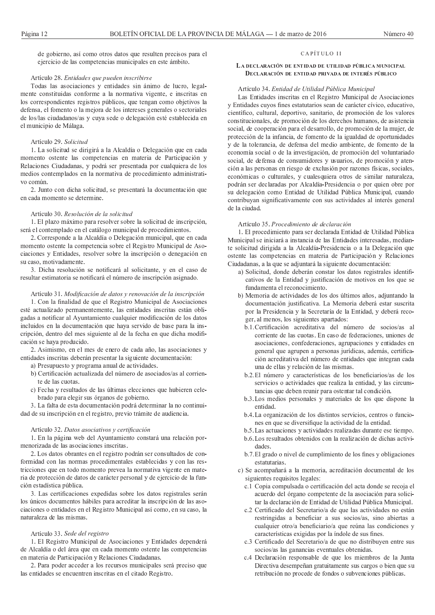de gobierno, así como otros datos que resulten precisos para el ejercicio de las competencias municipales en este ámbito.

#### Artículo 28. Entidades que pueden inscribirse

Todas las asociaciones y entidades sin ánimo de lucro, legalmente constituidas conforme a la normativa vigente, e inscritas en los correspondientes registros públicos, que tengan como objetivos la defensa, el fomento o la mejora de los intereses generales o sectoriales de los/las ciudadanos/as y cuya sede o delegación esté establecida en el municipio de Málaga.

# Artículo 29. Solicitud

1. La solicitud se dirigirá a la Alcaldía o Delegación que en cada momento ostente las competencias en materia de Participación y Relaciones Ciudadanas, y podrá ser presentada por cualquiera de los medios contemplados en la normativa de procedimiento administrativo común.

2. Junto con dicha solicitud, se presentará la documentación que en cada momento se determine.

# Artículo 30. Resolución de la solicitud

1. El plazo máximo para resolver sobre la solicitud de inscripción, será el contemplado en el catálogo municipal de procedimientos.

2. Corresponde a la Alcaldía o Delegación municipal, que en cada momento ostente la competencia sobre el Registro Municipal de Asociaciones y Entidades, resolver sobre la inscripción o denegación en su caso, motivadamente.

3. Dicha resolución se notificará al solicitante, y en el caso de resultar estimatoria se notificará el número de inscripción asignado.

Artículo 31. Modificación de datos y renovación de la inscripción 1. Con la finalidad de que el Registro Municipal de Asociaciones esté actualizado permanentemente, las entidades inscritas están obligadas a notificar al Avuntamiento cualquier modificación de los datos incluidos en la documentación que haya servido de base para la inscripción, dentro del mes siguiente al de la fecha en que dicha modificación se haya producido.

2. Asimismo, en el mes de enero de cada año, las asociaciones y entidades inscritas deberán presentar la siguiente documentación:

a) Presupuesto y programa anual de actividades.

- b) Certificación actualizada del número de asociados/as al corriente de las cuotas
- c) Fecha y resultados de las últimas elecciones que hubieren celebrado para elegir sus órganos de gobierno.

3. La falta de esta documentación podrá determinar la no continuidad de su inscripción en el registro, previo trámite de audiencia.

#### Artículo 32. Datos asociativos y certificación

1. En la página web del Ayuntamiento constará una relación pormenorizada de las asociaciones inscritas.

2. Los datos obrantes en el registro podrán ser consultados de conformidad con las normas procedimentales establecidas y con las restricciones que en todo momento prevea la normativa vigente en materia de protección de datos de carácter personal y de ejercicio de la función estadística pública.

3. Las certificaciones expedidas sobre los datos registrales serán los únicos documentos hábiles para acreditar la inscripción de las asociaciones o entidades en el Registro Municipal así como, en su caso, la naturaleza de las mismas

## Artículo 33. Sede del registro

1. El Registro Municipal de Asociaciones y Entidades dependerá de Alcaldía o del área que en cada momento ostente las competencias en materia de Participación y Relaciones Ciudadanas.

2. Para poder acceder a los recursos municipales será preciso que las entidades se encuentren inscritas en el citado Registro.

# CAPÍTULO II

# LA DECLARACIÓN DE ENTIDAD DE UTILIDAD PÚBLICA MUNICIPAL DECLARACIÓN DE ENTIDAD PRIVADA DE INTERÉS PÚBLICO

#### Artículo 34. Entidad de Utilidad Pública Municipal

Las Entidades inscritas en el Registro Municipal de Asociaciones y Entidades cuyos fines estatutarios sean de carácter cívico, educativo, científico, cultural, deportivo, sanitario, de promoción de los valores constitucionales, de promoción de los derechos humanos, de asistencia social, de cooperación para el desarrollo, de promoción de la mujer, de protección de la infancia, de fomento de la igualdad de oportunidades y de la tolerancia, de defensa del medio ambiente, de fomento de la economía social o de la investigación, de promoción del voluntariado social, de defensa de consumidores y usuarios, de promoción y atención a las personas en riesgo de exclusión por razones físicas, sociales, económicas o culturales, y cualesquiera otros de similar naturaleza, podrán ser declaradas por Alcaldía-Presidencia o por quien obre por su delegación como Entidad de Utilidad Pública Municipal, cuando contribuyan significativamente con sus actividades al interés general de la ciudad

#### Artículo 35. Procedimiento de declaración

1. El procedimiento para ser declarada Entidad de Utilidad Pública Municipal se iniciará a instancia de las Entidades interesadas, mediante solicitud dirigida a la Alcaldía-Presidencia o a la Delegación que ostente las competencias en materia de Participación y Relaciones Ciudadanas, a la que se adjuntará la siguiente documentación:

- a) Solicitud, donde deberán constar los datos registrales identificativos de la Entidad y justificación de motivos en los que se fundamenta el reconocimiento.
- b) Memoria de actividades de los dos últimos años, adjuntando la documentación justificativa. La Memoria deberá estar suscrita por la Presidencia y la Secretaría de la Entidad, y deberá recoger, al menos, los siguientes apartados:
	- b.1. Certificación acreditativa del número de socios/as al corriente de las cuotas. En caso de federaciones, uniones de asociaciones, confederaciones, agrupaciones y entidades en general que agrupen a personas jurídicas, además, certificación acreditativa del número de entidades que integran cada una de ellas y relación de las mismas.
	- b.2. El número y características de los beneficiarios/as de los servicios o actividades que realiza la entidad, y las circunstancias que deben reunir para ostentar tal condición.
	- b.3. Los medios personales y materiales de los que dispone la entidad.
	- b.4. La organización de los distintos servicios, centros o funciones en que se diversifique la actividad de la entidad.
	- b.5. Las actuaciones y actividades realizadas durante ese tiempo.
	- b.6. Los resultados obtenidos con la realización de dichas actividades
	- b.7. El grado o nivel de cumplimiento de los fines y obligaciones estatutarias
- c) Se acompañará a la memoria, acreditación documental de los siguientes requisitos legales:
	- c.1 Copia compulsada o certificación del acta donde se recoja el acuerdo del órgano competente de la asociación para solicitar la declaración de Entidad de Utilidad Pública Municipal.
	- c.2 Certificado del Secretario/a de que las actividades no están restringidas a beneficiar a sus socios/as, sino abiertas a cualquier otro/a beneficiario/a que reúna las condiciones y características exigidas por la índole de sus fines.
	- c.3 Certificado del Secretario/a de que no distribuyen entre sus socios/as las ganancias eventuales obtenidas.
	- c.4 Declaración responsable de que los miembros de la Junta Directiva desempeñan gratuitamente sus cargos o bien que su retribución no procede de fondos o subvenciones públicas.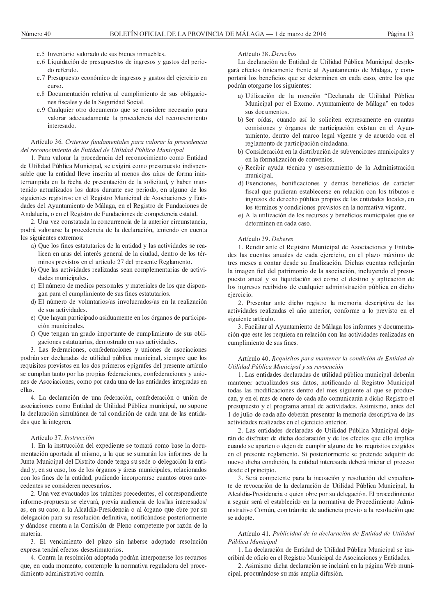- c.5 Inventario valorado de sus bienes inmuebles.
- c.6 Liquidación de presupuestos de ingresos y gastos del periodo referido.
- c.7 Presupuesto económico de ingresos y gastos del ejercicio en  $c$ urso
- c.8 Documentación relativa al cumplimiento de sus obligaciones fiscales y de la Seguridad Social.
- c.9 Cualquier otro documento que se considere necesario para valorar adecuadamente la procedencia del reconocimiento interesado

# Artículo 36. Criterios fundamentales para valorar la procedencia del reconocimiento de Entidad de Utilidad Pública Municipal

1. Para valorar la procedencia del reconocimiento como Entidad de Utilidad Pública Municipal, se exigirá como presupuesto indispensable que la entidad lleve inscrita al menos dos años de forma ininterrumpida en la fecha de presentación de la solicitud, y haber mantenido actualizados los datos durante ese periodo, en alguno de los siguientes registros: en el Registro Municipal de Asociaciones y Entidades del Ayuntamiento de Málaga, en el Registro de Fundaciones de Andalucía, o en el Registro de Fundaciones de competencia estatal.

2. Una vez constatada la concurrencia de la anterior circunstancia, podrá valorarse la procedencia de la declaración, teniendo en cuenta los siguientes extremos:

- a) Que los fines estatutarios de la entidad y las actividades se realicen en aras del interés general de la ciudad, dentro de los términos previstos en el artículo 27 del presente Reglamento.
- b) Que las actividades realizadas sean complementarias de actividades municipales.
- c) El número de medios personales y materiales de los que dispongan para el cumplimiento de sus fines estatutarios.
- d) El número de voluntarios/as involucrados/as en la realización de sus actividades.
- e) Que hayan participado asiduamente en los órganos de participación municipales.
- f) Que tengan un grado importante de cumplimiento de sus obligaciones estatutarias, demostrado en sus actividades.

3. Las federaciones, confederaciones y uniones de asociaciones podrán ser declaradas de utilidad pública municipal, siempre que los requisitos previstos en los dos primeros epígrafes del presente artículo se cumplan tanto por las propias federaciones, confederaciones y uniones de Asociaciones, como por cada una de las entidades integradas en ellas.

4. La declaración de una federación, confederación o unión de asociaciones como Entidad de Utilidad Pública municipal, no supone la declaración simultánea de tal condición de cada una de las entidades que la integren.

#### Artículo 37. Instrucción

1. En la instrucción del expediente se tomará como base la documentación aportada al mismo, a la que se sumarán los informes de la Junta Municipal del Distrito donde tenga su sede o delegación la entidad y, en su caso, los de los órganos y áreas municipales, relacionados con los fines de la entidad, pudiendo incorporarse cuantos otros antecedentes se consideren necesarios.

2. Una vez evacuados los trámites precedentes, el correspondiente informe-propuesta se elevará, previa audiencia de los/las interesados/ as, en su caso, a la Alcaldía-Presidencia o al órgano que obre por su delegación para su resolución definitiva, notificándose posteriormente y dándose cuenta a la Comisión de Pleno competente por razón de la materia

3. El vencimiento del plazo sin haberse adoptado resolución expresa tendrá efectos desestimatorios.

4. Contra la resolución adoptada podrán interponerse los recursos que, en cada momento, contemple la normativa reguladora del procedimiento administrativo común.

## Artículo 38. Derechos

La declaración de Entidad de Utilidad Pública Municipal desplegará efectos únicamente frente al Ayuntamiento de Málaga, y comportará los beneficios que se determinen en cada caso, entre los que podrán otorgarse los siguientes:

- a) Utilización de la mención "Declarada de Utilidad Pública Municipal por el Excmo. Ayuntamiento de Málaga" en todos sus documentos.
- b) Ser oídas, cuando así lo soliciten expresamente en cuantas comisiones y órganos de participación existan en el Ayuntamiento, dentro del marco legal vigente y de acuerdo con el reglamento de participación ciudadana.
- b) Consideración en la distribución de subvenciones municipales y en la formalización de convenios.
- c) Recibir ayuda técnica y asesoramiento de la Administración municipal.
- d) Exenciones, bonificaciones y demás beneficios de carácter fiscal que pudieran establecerse en relación con los tributos e ingresos de derecho público propios de las entidades locales, en los términos y condiciones previstos en la normativa vigente.
- e) A la utilización de los recursos y beneficios municipales que se determinen en cada caso.

# Artículo 39. Deberes

1. Rendir ante el Registro Municipal de Asociaciones y Entidades las cuentas anuales de cada ejercicio, en el plazo máximo de tres meses a contar desde su finalización. Dichas cuentas reflejarán la imagen fiel del patrimonio de la asociación, incluyendo el presupuesto anual y su liquidación así como el destino y aplicación de los ingresos recibidos de cualquier administración pública en dicho ejercicio.

2. Presentar ante dicho registro la memoria descriptiva de las actividades realizadas el año anterior, conforme a lo previsto en el siguiente artículo.

3. Facilitar al Ayuntamiento de Málaga los informes y documentación que este les requiera en relación con las actividades realizadas en cumplimiento de sus fines.

# Artículo 40. Requisitos para mantener la condición de Entidad de Utilidad Pública Municipal y su revocación

1. Las entidades declaradas de utilidad pública municipal deberán mantener actualizados sus datos, notificando al Registro Municipal todas las modificaciones dentro del mes siguiente al que se produzcan, y en el mes de enero de cada año comunicarán a dicho Registro el presupuesto y el programa anual de actividades. Asimismo, antes del 1 de julio de cada año deberán presentar la memoria descriptiva de las actividades realizadas en el ejercicio anterior.

2. Las entidades declaradas de Utilidad Pública Municipal dejarán de disfrutar de dicha declaración y de los efectos que ello implica cuando se aparten o dejen de cumplir alguno de los requisitos exigidos en el presente reglamento. Si posteriormente se pretende adquirir de nuevo dicha condición, la entidad interesada deberá iniciar el proceso desde el principio.

3. Será competente para la incoación y resolución del expediente de revocación de la declaración de Utilidad Pública Municipal, la Alcaldía-Presidencia o quien obre por su delegación. El procedimiento a seguir será el establecido en la normativa de Procedimiento Administrativo Común, con trámite de audiencia previo a la resolución que se adopte.

# Artículo 41. Publicidad de la declaración de Entidad de Utilidad Pública Municipal

1. La declaración de Entidad de Utilidad Pública Municipal se inscribirá de oficio en el Registro Municipal de Asociaciones y Entidades.

2. Asimismo dicha declaración se incluirá en la página Web municipal, procurándose su más amplia difusión.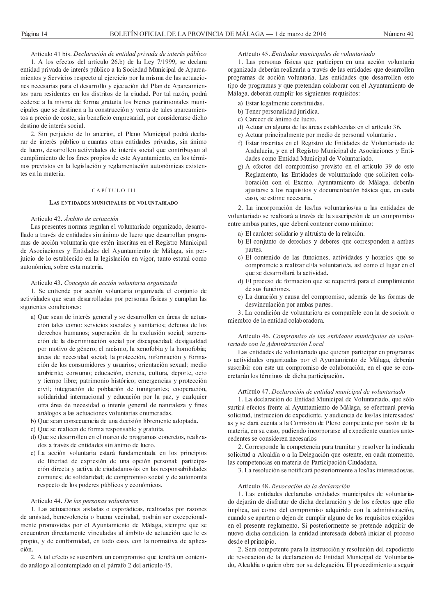Artículo 41 bis. Declaración de entidad privada de interés público

1. A los efectos del artículo 26.b) de la Ley 7/1999, se declara entidad privada de interés público a la Sociedad Municipal de Aparcamientos y Servicios respecto al ejercicio por la misma de las actuaciones necesarias para el desarrollo y ejecución del Plan de Aparcamientos para residentes en los distritos de la ciudad. Por tal razón, podrá cederse a la misma de forma gratuita los bienes patrimoniales municipales que se destinen a la construcción y venta de tales aparcamientos a precio de coste, sin beneficio empresarial, por considerarse dicho destino de interés social.

2. Sin perjuicio de lo anterior, el Pleno Municipal podrá declarar de interés público a cuantas otras entidades privadas, sin ánimo de lucro, desarrollen actividades de interés social que contribuyan al cumplimiento de los fines propios de este Avuntamiento, en los términos previstos en la legislación y reglamentación autonómicas existentes en la materia.

# CAPÍTULO III

## LAS ENTIDADES MUNICIPALES DE VOLUNTARIADO

#### Artículo 42. Ámbito de actuación

Las presentes normas regulan el voluntariado organizado, desarrollado a través de entidades sin ánimo de lucro que desarrollan programas de acción voluntaria que estén inscritas en el Registro Municipal de Asociaciones y Entidades del Ayuntamiento de Málaga, sin perjuicio de lo establecido en la legislación en vigor, tanto estatal como autonómica, sobre esta materia.

# Artículo 43. Concepto de acción voluntaria organizada

1. Se entiende por acción voluntaria organizada el conjunto de actividades que sean desarrolladas por personas físicas y cumplan las siguientes condiciones:

- a) Que sean de interés general y se desarrollen en áreas de actuación tales como: servicios sociales y sanitarios; defensa de los derechos humanos; superación de la exclusión social; superación de la discriminación social por discapacidad; desigualdad por motivo de género; el racismo, la xenofobia y la homofobia; áreas de necesidad social; la protección, información y formación de los consumidores y usuarios; orientación sexual; medio ambiente; consumo; educación, ciencia, cultura, deporte, ocio y tiempo libre; patrimonio histórico; emergencias y protección civil; integración de población de inmigrantes; cooperación, solidaridad internacional y educación por la paz, y cualquier otra área de necesidad o interés general de naturaleza y fines análogos a las actuaciones voluntarias enumeradas.
- b) Que sean consecuencia de una decisión libremente adoptada.
- c) Que se realicen de forma responsable y gratuita.
- d) Que se desarrollen en el marco de programas concretos, realizados a través de entidades sin ánimo de lucro.
- e) La acción voluntaria estará fundamentada en los principios de libertad de expresión de una opción personal; participación directa y activa de ciudadanos/as en las responsabilidades comunes; de solidaridad; de compromiso social y de autonomía respecto de los poderes públicos y económicos.

# Artículo 44. De las personas voluntarias

1. Las actuaciones aisladas o esporádicas, realizadas por razones de amistad, benevolencia o buena vecindad, podrán ser excepcionalmente promovidas por el Ayuntamiento de Málaga, siempre que se encuentren directamente vinculadas al ámbito de actuación que le es propio, y de conformidad, en todo caso, con la normativa de aplicación

2. A tal efecto se suscribirá un compromiso que tendrá un contenido análogo al contemplado en el párrafo 2 del artículo 45.

#### Artículo 45. Entidades municipales de voluntariado

1. Las personas físicas que participen en una acción voluntaria organizada deberán realizarla a través de las entidades que desarrollen programas de acción voluntaria. Las entidades que desarrollen este tipo de programas y que pretendan colaborar con el Ayuntamiento de Málaga, deberán cumplir los siguientes requisitos:

- a) Estar legalmente constituidas.
- b) Tener personalidad jurídica.
- c) Carecer de ánimo de lucro.
- d) Actuar en alguna de las áreas establecidas en el artículo 36.
- e) Actuar principalmente por medio de personal voluntario.
- f) Estar inscritas en el Registro de Entidades de Voluntariado de Andalucía, y en el Registro Municipal de Asociaciones y Entidades como Entidad Municipal de Voluntariado.
- g) A efectos del compromiso previsto en el artículo 39 de este Reglamento, las Entidades de voluntariado que soliciten colaboración con el Excmo. Ayuntamiento de Málaga, deberán ajustarse a los requisitos y documentación básica que, en cada caso, se estime necesaria.

2. La incorporación de los/las voluntarios/as a las entidades de voluntariado se realizará a través de la suscripción de un compromiso entre ambas partes, que deberá contener como mínimo:

- a) El carácter solidario y altruista de la relación.
- b) El conjunto de derechos y deberes que corresponden a ambas partes.
- c) El contenido de las funciones, actividades y horarios que se compromete a realizar el/la voluntario/a, así como el lugar en el que se desarrollará la actividad.
- d) El proceso de formación que se requerirá para el cumplimiento de sus funciones.
- e) La duración y causa del compromiso, además de las formas de desvinculación por ambas partes.

3. La condición de voluntario/a es compatible con la de socio/a o miembro de la entidad colaboradora.

Artículo 46. Compromiso de las entidades municipales de voluntariado con la Administración Local

Las entidades de voluntariado que quieran participar en programas o actividades organizadas por el Ayuntamiento de Málaga, deberán suscribir con este un compromiso de colaboración, en el que se concretarán los términos de dicha participación.

# Artículo 47. Declaración de entidad municipal de voluntariado

1. La declaración de Entidad Municipal de Voluntariado, que sólo surtirá efectos frente al Ayuntamiento de Málaga, se efectuará previa solicitud, instrucción de expediente, y audiencia de los/las interesados/ as y se dará cuenta a la Comisión de Pleno competente por razón de la materia, en su caso, pudiendo incorporarse al expediente cuantos antecedentes se consideren necesarios

2. Corresponde la competencia para tramitar y resolver la indicada solicitud a Alcaldía o a la Delegación que ostente, en cada momento, las competencias en materia de Participación Ciudadana.

3. La resolución se notificará posteriormente a los/las interesados/as.

# Artículo 48. Revocación de la declaración

1. Las entidades declaradas entidades municipales de voluntariado dejarán de disfrutar de dicha declaración y de los efectos que ello implica, así como del compromiso adquirido con la administración, cuando se aparten o dejen de cumplir alguno de los requisitos exigidos en el presente reglamento. Si posteriormente se pretende adquirir de nuevo dicha condición, la entidad interesada deberá iniciar el proceso desde el principio.

2. Será competente para la instrucción y resolución del expediente de revocación de la declaración de Entidad Municipal de Voluntariado, Alcaldía o quien obre por su delegación. El procedimiento a seguir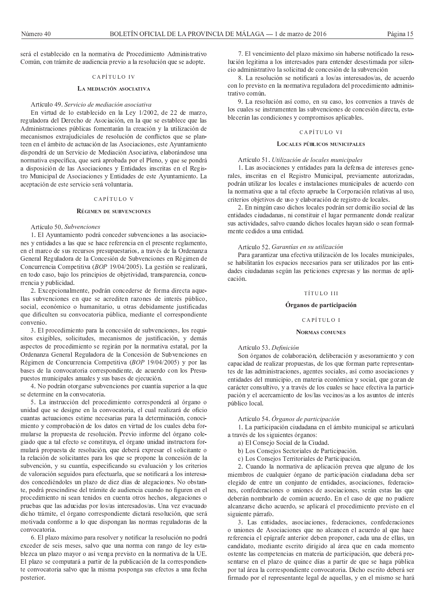será el establecido en la normativa de Procedimiento Administrativo Común, con trámite de audiencia previo a la resolución que se adopte.

# CAPÍTULO IV

# LA MEDIACIÓN ASOCIATIVA

## Artículo 49. Servicio de mediación asociativa

En virtud de lo establecido en la Ley 1/2002, de 22 de marzo, reguladora del Derecho de Asociación, en la que se establece que las Administraciones públicas fomentarán la creación y la utilización de mecanismos extrajudiciales de resolución de conflictos que se planteen en el ámbito de actuación de las Asociaciones, este Ayuntamiento dispondrá de un Servicio de Mediación Asociativa, elaborándose una normativa específica, que será aprobada por el Pleno, y que se pondrá a disposición de las Asociaciones y Entidades inscritas en el Registro Municipal de Asociaciones y Entidades de este Ayuntamiento. La aceptación de este servicio será voluntaria.

# CAPÍTULO V

# **RÉGIMEN DE SUBVENCIONES**

# Artículo 50 Subvenciones

1. El Ayuntamiento podrá conceder subvenciones a las asociaciones y entidades a las que se hace referencia en el presente reglamento, en el marco de sus recursos presupuestarios, a través de la Ordenanza General Reguladora de la Concesión de Subvenciones en Régimen de Concurrencia Competitiva (BOP 19/04/2005). La gestión se realizará, en todo caso, bajo los principios de objetividad, transparencia, concurrencia y publicidad.

2. Excepcionalmente, podrán concederse de forma directa aquellas subvenciones en que se acrediten razones de interés público, social, económico o humanitario, u otras debidamente justificadas que dificulten su convocatoria pública, mediante el correspondiente convenio.

3. El procedimiento para la concesión de subvenciones, los requisitos exigibles, solicitudes, mecanismos de justificación, y demás aspectos de procedimiento se regirán por la normativa estatal, por la Ordenanza General Reguladora de la Concesión de Subvenciones en Régimen de Concurrencia Competitiva (BOP 19/04/2005) y por las bases de la convocatoria correspondiente, de acuerdo con los Presupuestos municipales anuales y sus bases de ejecución.

4. No podrán otorgarse subvenciones por cuantía superior a la que se determine en la convocatoria.

5. La instrucción del procedimiento corresponderá al órgano o unidad que se designe en la convocatoria, el cual realizará de oficio cuantas actuaciones estime necesarias para la determinación, conocimiento y comprobación de los datos en virtud de los cuales deba formularse la propuesta de resolución. Previo informe del órgano colegiado que a tal efecto se constituya, el órgano unidad instructora formulará propuesta de resolución, que deberá expresar el solicitante o la relación de solicitantes para los que se propone la concesión de la subvención, y su cuantía, especificando su evaluación y los criterios de valoración seguidos para efectuarla, que se notificará a los interesados concediéndoles un plazo de diez días de alegaciones. No obstante, podrá prescindirse del trámite de audiencia cuando no figuren en el procedimiento ni sean tenidos en cuenta otros hechos, alegaciones o pruebas que las aducidas por los/as interesados/as. Una vez evacuado dicho trámite, el órgano correspondiente dictará resolución, que será motivada conforme a lo que dispongan las normas reguladoras de la convocatoria.

6. El plazo máximo para resolver y notificar la resolución no podrá exceder de seis meses, salvo que una norma con rango de ley establezca un plazo mayor o así venga previsto en la normativa de la UE. El plazo se computará a partir de la publicación de la correspondiente convocatoria salvo que la misma posponga sus efectos a una fecha posterior.

7. El vencimiento del plazo máximo sin haberse notificado la resolución legitima a los interesados para entender desestimada por silencio administrativo la solicitud de concesión de la subvención

8. La resolución se notificará a los/as interesados/as, de acuerdo con lo previsto en la normativa reguladora del procedimiento administrativo común.

9. La resolución así como, en su caso, los convenios a través de los cuales se instrumenten las subvenciones de concesión directa, establecerán las condiciones y compromisos aplicables.

#### CAPÍTULO VI

# LOCALES PÚBLICOS MUNICIPALES

#### Artículo 51. Utilización de locales municipales

1. Las asociaciones y entidades para la defensa de intereses generales, inscritas en el Registro Municipal, previamente autorizadas, podrán utilizar los locales e instalaciones municipales de acuerdo con la normativa que a tal efecto apruebe la Corporación relativas al uso, criterios objetivos de uso y elaboración de registro de locales.

2. En ningún caso dichos locales podrán ser domicilio social de las entidades ciudadanas, ni constituir el lugar permanente donde realizar sus actividades, salvo cuando dichos locales hayan sido o sean formalmente cedidos a una entidad.

#### Artículo 52. Garantías en su utilización

Para garantizar una efectiva utilización de los locales municipales, se habilitarán los espacios necesarios para ser utilizados por las entidades ciudadanas según las peticiones expresas y las normas de aplicación

#### TÍTULO III

#### Órganos de participación

#### CAPÍTULO I

# **NORMAS COMUNES**

Artículo 53. Definición

Son órganos de colaboración, deliberación y asesoramiento y con capacidad de realizar propuestas, de los que forman parte representantes de las administraciones, agentes sociales, así como asociaciones y entidades del municipio, en materia económica y social, que gozan de carácter consultivo, y a través de los cuales se hace efectiva la participación y el acercamiento de los/las vecinos/as a los asuntos de interés público local.

# Artículo 54. Órganos de participación

1. La participación ciudadana en el ámbito municipal se articulará a través de los siguientes órganos:

- a) El Consejo Social de la Ciudad.
- b) Los Consejos Sectoriales de Participación.
- c) Los Consejos Territoriales de Participación.

2. Cuando la normativa de aplicación prevea que alguno de los miembros de cualquier órgano de participación ciudadana deba ser elegido de entre un conjunto de entidades, asociaciones, federaciones, confederaciones o uniones de asociaciones, serán estas las que deberán nombrarlo de común acuerdo. En el caso de que no pudiere alcanzarse dicho acuerdo, se aplicará el procedimiento previsto en el siguiente párrafo.

3. Las entidades, asociaciones, federaciones, confederaciones o uniones de Asociaciones que no alcancen el acuerdo al que hace referencia el epígrafe anterior deben proponer, cada una de ellas, un candidato, mediante escrito dirigido al área que en cada momento ostente las competencias en materia de participación, que deberá presentarse en el plazo de quince días a partir de que se haga pública por tal área la correspondiente convocatoria. Dicho escrito deberá ser firmado por el representante legal de aquellas, y en el mismo se hará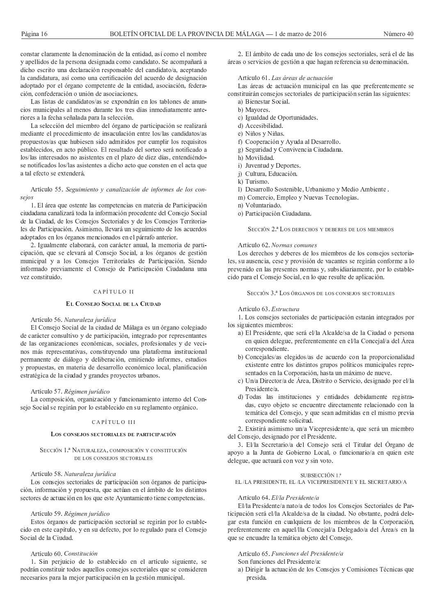constar claramente la denominación de la entidad, así como el nombre y apellidos de la persona designada como candidato. Se acompañará a dicho escrito una declaración responsable del candidato/a, aceptando la candidatura, así como una certificación del acuerdo de designación adoptado por el órgano competente de la entidad, asociación, federación, confederación o unión de asociaciones.

Las listas de candidatos/as se expondrán en los tablones de anuncios municipales al menos durante los tres días inmediatamente anteriores a la fecha señalada para la selección.

La selección del miembro del órgano de participación se realizará mediante el procedimiento de insaculación entre los/las candidatos/as propuestos/as que hubiesen sido admitidos por cumplir los requisitos establecidos, en acto público. El resultado del sorteo será notificado a los/las interesados no asistentes en el plazo de diez días, entendiéndose notificados los/las asistentes a dicho acto que consten en el acta que a tal efecto se extenderá.

## Artículo 55. Seguimiento y canalización de informes de los consejos

1. El área que ostente las competencias en materia de Participación ciudadana canalizará toda la información procedente del Consejo Social de la Ciudad, de los Consejos Sectoriales y de los Consejos Territoriales de Participación. Asimismo, llevará un seguimiento de los acuerdos adoptados en los órganos mencionados en el párrafo anterior.

2. Igualmente elaborará, con carácter anual, la memoria de participación, que se elevará al Consejo Social, a los órganos de gestión municipal y a los Consejos Territoriales de Participación. Siendo informado previamente el Consejo de Participación Ciudadana una vez constituido.

# CAPÍTULO II

#### EL CONSEJO SOCIAL DE LA CIUDAD

#### Artículo 56. Naturaleza jurídica

El Consejo Social de la ciudad de Málaga es un órgano colegiado de carácter consultivo y de participación, integrado por representantes de las organizaciones económicas, sociales, profesionales y de vecinos más representativas, constituyendo una plataforma institucional permanente de diálogo y deliberación, emitiendo informes, estudios y propuestas, en materia de desarrollo económico local, planificación estratégica de la ciudad y grandes proyectos urbanos.

#### Artículo 57. Régimen jurídico

La composición, organización y funcionamiento interno del Consejo Social se regirán por lo establecido en su reglamento orgánico.

# CAPÍTULO III

# LOS CONSEJOS SECTORIALES DE PARTICIPACIÓN

## SECCIÓN 1.ª NATURALEZA, COMPOSICIÓN Y CONSTITUCIÓN DE LOS CONSEJOS SECTORIALES

#### Artículo 58. Naturaleza jurídica

Los consejos sectoriales de participación son órganos de participación, información y propuesta, que actúan en el ámbito de los distintos sectores de actuación en los que este Ayuntamiento tiene competencias.

# Artículo 59. Régimen jurídico

Estos órganos de participación sectorial se regirán por lo establecido en este capítulo, y en su defecto, por lo regulado para el Consejo Social de la Ciudad.

#### Artículo 60. Constitución

1. Sin perjuicio de lo establecido en el artículo siguiente, se podrán constituir todos aquellos consejos sectoriales que se consideren necesarios para la mejor participación en la gestión municipal.

2. El ámbito de cada uno de los consejos sectoriales, será el de las áreas o servicios de gestión a que hagan referencia su denominación.

## Artículo 61. Las áreas de actuación

Las áreas de actuación municipal en las que preferentemente se constituirán consejos sectoriales de participación serán las siguientes:

- a) Bienestar Social.
- b) Mayores.
- c) Igualdad de Oportunidades.
- d) Accesibilidad.
- e) Niños y Niñas.
- f) Cooperación y Ayuda al Desarrollo.
- g) Seguridad y Convivencia Ciudadana.
- h) Movilidad.
- i) Juventud y Deportes.
- j) Cultura, Educación.
- k) Turismo.
- l) Desarrollo Sostenible, Urbanismo y Medio Ambiente.
- m) Comercio, Empleo y Nuevas Tecnologías.
- n) Voluntariado.
- o) Participación Ciudadana.

SECCIÓN 2.ª LOS DERECHOS Y DEBERES DE LOS MIEMBROS

#### Artículo 62. Normas comunes

Los derechos y deberes de los miembros de los consejos sectoriales, su ausencia, cese y provisión de vacantes se regirán conforme a lo prevenido en las presentes normas y, subsidiariamente, por lo establecido para el Consejo Social, en lo que resulte de aplicación.

SECCIÓN 3.ª LOS ÓRGANOS DE LOS CONSEJOS SECTORIALES

## Artículo 63. Estructura

1. Los consejos sectoriales de participación estarán integrados por los siguientes miembros:

- a) El Presidente, que será el/la Alcalde/sa de la Ciudad o persona en quien delegue, preferentemente en el/la Concejal/a del Área correspondiente.
- b) Concejales/as elegidos/as de acuerdo con la proporcionalidad existente entre los distintos grupos políticos municipales representados en la Corporación, hasta un máximo de nueve.
- c) Un/a Director/a de Área, Distrito o Servicio, designado por el/la Presidente/a.
- d) Todas las instituciones y entidades debidamente registradas, cuyo objeto se encuentre directamente relacionado con la temática del Consejo, y que sean admitidas en el mismo previa correspondiente solicitud.

2. Existirá asimismo un/a Vicepresidente/a, que será un miembro del Consejo, designado por el Presidente.

3. El/la Secretario/a del Consejo será el Titular del Órgano de apoyo a la Junta de Gobierno Local, o funcionario/a en quien este delegue, que actuará con voz y sin voto.

# SUBSECCIÓN 1.ª

EL/LA PRESIDENTE, EL/LA VICEPRESIDENTE Y EL SECRETARIO/A

#### Artículo 64. El/la Presidente/a

El/la Presidente/a nato/a de todos los Consejos Sectoriales de Participación será el/la Alcalde/sa de la ciudad. No obstante, podrá delegar esta función en cualquiera de los miembros de la Corporación, preferentemente en aquel/lla Concejal/a Delegado/a del Área/s en la que se encuadre la temática objeto del Consejo.

Artículo 65. Funciones del Presidente/a

- Son funciones del Presidente/a:
- a) Dirigir la actuación de los Consejos y Comisiones Técnicas que presida.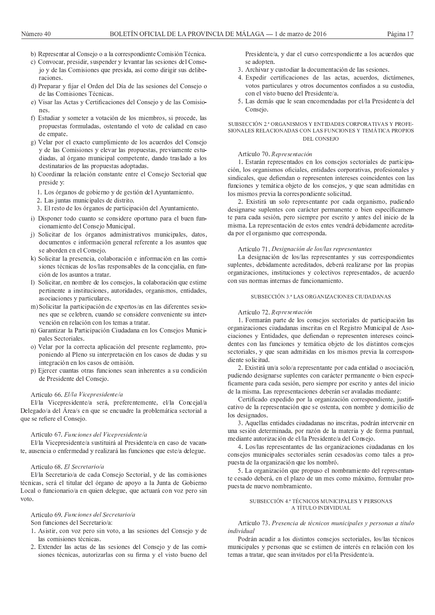- b) Representar al Consejo o a la correspondiente Comisión Técnica.
- c) Convocar, presidir, suspender y levantar las sesiones del Consejo y de las Comisiones que presida, así como dirigir sus deliberaciones.
- d) Preparar y fijar el Orden del Día de las sesiones del Consejo o de las Comisiones Técnicas.
- e) Visar las Actas y Certificaciones del Consejo y de las Comisiones
- f) Estudiar y someter a votación de los miembros, si procede, las propuestas formuladas, ostentando el voto de calidad en caso de empate.
- g) Velar por el exacto cumplimiento de los acuerdos del Consejo y de las Comisiones y elevar las propuestas, previamente estudiadas, al órgano municipal competente, dando traslado a los destinatarios de las propuestas adoptadas.
- h) Coordinar la relación constante entre el Consejo Sectorial que preside y:
	- 1. Los órganos de gobierno y de gestión del Ayuntamiento.
	- 2. Las juntas municipales de distrito.
	- 3. El resto de los órganos de participación del Ayuntamiento.
- i) Disponer todo cuanto se considere oportuno para el buen funcionamiento del Consejo Municipal.
- j) Solicitar de los órganos administrativos municipales, datos, documentos e información general referente a los asuntos que se aborden en el Consejo.
- k) Solicitar la presencia, colaboración e información en las comisiones técnicas de los/las responsables de la concejalía, en función de los asuntos a tratar.
- l) Solicitar, en nombre de los consejos, la colaboración que estime pertinente a instituciones, autoridades, organismos, entidades, asociaciones y particulares.
- m) Solicitar la participación de expertos/as en las diferentes sesiones que se celebren, cuando se considere conveniente su intervención en relación con los temas a tratar.
- n) Garantizar la Participación Ciudadana en los Consejos Municipales Sectoriales.
- o) Velar por la correcta aplicación del presente reglamento, proponiendo al Pleno su interpretación en los casos de dudas y su integración en los casos de omisión.
- p) Ejercer cuantas otras funciones sean inherentes a su condición de Presidente del Consejo.

# Artículo 66. El/la Vicepresidente/a

El/la Vicepresidente/a será, preferentemente, el/la Concejal/a Delegado/a del Área/s en que se encuadre la problemática sectorial a que se refiere el Consejo.

# Artículo 67. Funciones del Vicepresidente/a

El/la Vicepresidente/a sustituirá al Presidente/a en caso de vacante, ausencia o enfermedad y realizará las funciones que este/a delegue.

#### Artículo 68. El Secretario/a

El/la Secretario/a de cada Consejo Sectorial, y de las comisiones técnicas, será el titular del órgano de apoyo a la Junta de Gobierno Local o funcionario/a en quien delegue, que actuará con voz pero sin voto

# Artículo 69. Funciones del Secretario/a

# Son funciones del Secretario/a:

- 1. Asistir, con voz pero sin voto, a las sesiones del Consejo y de las comisiones técnicas.
- 2. Extender las actas de las sesiones del Consejo y de las comisiones técnicas, autorizarlas con su firma y el visto bueno del

Presidente/a, y dar el curso correspondiente a los acuerdos que se adopten.

- 3. Archivar y custodiar la documentación de las sesiones.
- 4. Expedir certificaciones de las actas, acuerdos, dictámenes, votos particulares y otros documentos confiados a su custodia, con el visto bueno del Presidente/a.
- 5. Las demás que le sean encomendadas por el/la Presidente/a del Consejo.

## SUBSECCIÓN 2.ª ORGANISMOS Y ENTIDADES CORPORATIVAS Y PROFE-SIONALES RELACIONADAS CON LAS FUNCIONES Y TEMÁTICA PROPIOS DEL CONSEJO

## Artículo 70. Representación

1. Estarán representados en los consejos sectoriales de participación, los organismos oficiales, entidades corporativas, profesionales y sindicales, que defiendan o representen intereses coincidentes con las funciones y temática objeto de los consejos, y que sean admitidas en los mismos previa la correspondiente solicitud.

2. Existirá un solo representante por cada organismo, pudiendo designarse suplentes con carácter permanente o bien específicamente para cada sesión, pero siempre por escrito y antes del inicio de la misma. La representación de estos entes vendrá debidamente acreditada por el organismo que corresponda.

#### Artículo 71. Designación de los/las representantes

La designación de los/las representantes y sus correspondientes suplentes, debidamente acreditados, deberá realizarse por las propias organizaciones, instituciones y colectivos representados, de acuerdo con sus normas internas de funcionamiento.

#### SUBSECCIÓN 3.ª LAS ORGANIZACIONES CIUDADANAS

## Artículo 72. Representación

1. Formarán parte de los consejos sectoriales de participación las organizaciones ciudadanas inscritas en el Registro Municipal de Asociaciones y Entidades, que defiendan o representen intereses coincidentes con las funciones y temática objeto de los distintos consejos sectoriales, y que sean admitidas en los mismos previa la correspondiente solicitud.

2. Existirá un/a solo/a representante por cada entidad o asociación, pudiendo designarse suplentes con carácter permanente o bien específicamente para cada sesión, pero siempre por escrito y antes del inicio de la misma. Las representaciones deberán ser avaladas mediante:

Certificado expedido por la organización correspondiente, justificativo de la representación que se ostenta, con nombre y domicilio de los designados.

3. Aquellas entidades ciudadanas no inscritas, podrán intervenir en una sesión determinada, por razón de la materia y de forma puntual, mediante autorización de el/la Presidente/a del Consejo.

4. Los/las representantes de las organizaciones ciudadanas en los consejos municipales sectoriales serán cesados/as como tales a propuesta de la organización que los nombró.

5. La organización que propuso el nombramiento del representante cesado deberá, en el plazo de un mes como máximo, formular propuesta de nuevo nombramiento.

## SUBSECCIÓN 4.ª TÉCNICOS MUNICIPALES Y PERSONAS A TÍTULO INDIVIDUAL

# Artículo 73. Presencia de técnicos municipales y personas a título individual

Podrán acudir a los distintos consejos sectoriales, los/las técnicos municipales y personas que se estimen de interés en relación con los temas a tratar, que sean invitados por el/la Presidente/a.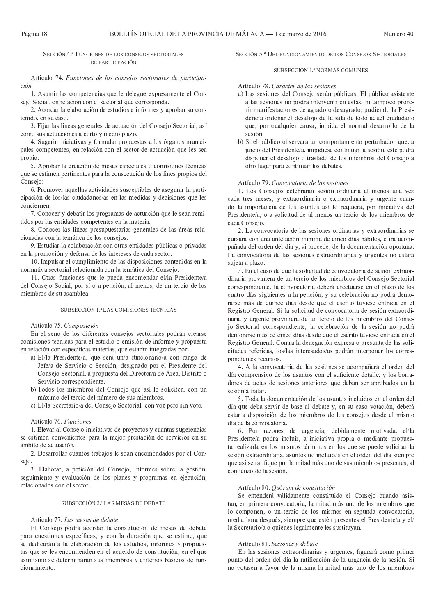Artículo 74. Funciones de los conseios sectoriales de participa $ción$ 

1. Asumir las competencias que le delegue expresamente el Consejo Social, en relación con el sector al que corresponda.

2. Acordar la elaboración de estudios e informes y aprobar su contenido, en su caso.

3. Fijar las líneas generales de actuación del Consejo Sectorial, así como sus actuaciones a corto y medio plazo.

4. Sugerir iniciativas y formular propuestas a los órganos municipales competentes, en relación con el sector de actuación que les sea propio.

5. Aprobar la creación de mesas especiales o comisiones técnicas que se estimen pertinentes para la consecución de los fines propios del Consejo:

6. Promover aquellas actividades susceptibles de asegurar la participación de los/las ciudadanos/as en las medidas y decisiones que les conciernen.

7. Conocer y debatir los programas de actuación que le sean remitidos por las entidades competentes en la materia.

8. Conocer las líneas presupuestarias generales de las áreas relacionadas con la temática de los consejos.

9. Estudiar la colaboración con otras entidades públicas o privadas en la promoción y defensa de los intereses de cada sector.

10. Impulsar el cumplimiento de las disposiciones contenidas en la normativa sectorial relacionada con la temática del Consejo.

11. Otras funciones que le pueda encomendar el/la Presidente/a del Consejo Social, por sí o a petición, al menos, de un tercio de los miembros de su asamblea.

# SUBSECCIÓN 1.ª LAS COMISIONES TÉCNICAS

#### Artículo 75. Composición

En el seno de los diferentes consejos sectoriales podrán crearse comisiones técnicas para el estudio o emisión de informe y propuesta en relación con específicas materias, que estarán integradas por:

- a) El/la Presidente/a, que será un/a funcionario/a con rango de Jefe/a de Servicio o Sección, designado por el Presidente del Consejo Sectorial, a propuesta del Director/a de Área, Distrito o Servicio correspondiente.
- b) Todos los miembros del Consejo que así lo soliciten, con un máximo del tercio del número de sus miembros.
- c) El/la Secretario/a del Consejo Sectorial, con voz pero sin voto.

# Artículo 76. Funciones

1. Elevar al Consejo iniciativas de proyectos y cuantas sugerencias se estimen convenientes para la mejor prestación de servicios en su ámbito de actuación

2. Desarrollar cuantos trabajos le sean encomendados por el Consejo.

3. Elaborar, a petición del Consejo, informes sobre la gestión, seguimiento y evaluación de los planes y programas en ejecución, relacionados con el sector

# SUBSECCIÓN 2.ª LAS MESAS DE DEBATE

#### Artículo 77. Las mesas de debate

El Consejo podrá acordar la constitución de mesas de debate para cuestiones específicas, y con la duración que se estime, que se dedicarán a la elaboración de los estudios, informes y propuestas que se les encomienden en el acuerdo de constitución, en el que asimismo se determinarán sus miembros y criterios básicos de funcionamiento

# SECCIÓN 5<sup>ª</sup> DEL FUNCIONAMIENTO DE LOS CONSEJOS SECTORIALES

# SUBSECCIÓN 1.ª NORMAS COMUNES

# Artículo 78. Carácter de las sesiones

- a) Las sesiones del Consejo serán públicas. El público asistente a las sesiones no podrá intervenir en éstas, ni tampoco proferir manifestaciones de agrado o desagrado, pudiendo la Presidencia ordenar el desalojo de la sala de todo aquel ciudadano que, por cualquier causa, impida el normal desarrollo de la sesión.
- b) Si el público observara un comportamiento perturbador que, a juicio del Presidente/a, impidiese continuar la sesión, este podrá disponer el desalojo o traslado de los miembros del Consejo a otro lugar para continuar los debates.

# Artículo 79. Convocatoria de las sesiones

1. Los Consejos celebrarán sesión ordinaria al menos una vez cada tres meses, y extraordinaria o extraordinaria y urgente cuando la importancia de los asuntos así lo requiera, por iniciativa del Presidente/a, o a solicitud de al menos un tercio de los miembros de cada Consejo.

2. La convocatoria de las sesiones ordinarias y extraordinarias se cursará con una antelación mínima de cinco días hábiles, e irá acompañada del orden del día y, si procede, de la documentación oportuna. La convocatoria de las sesiones extraordinarias y urgentes no estará sujeta a plazo.

3. En el caso de que la solicitud de convocatoria de sesión extraordinaria proviniera de un tercio de los miembros del Consejo Sectorial correspondiente, la convocatoria deberá efectuarse en el plazo de los cuatro días siguientes a la petición, y su celebración no podrá demorarse más de quince días desde que el escrito tuviese entrada en el Registro General. Si la solicitud de convocatoria de sesión extraordinaria y urgente proviniera de un tercio de los miembros del Consejo Sectorial correspondiente, la celebración de la sesión no podrá demorarse más de cinco días desde que el escrito tuviese entrada en el Registro General. Contra la denegación expresa o presunta de las solicitudes referidas, los/las interesados/as podrán interponer los corresnondientes recursos

4. A la convocatoria de las sesiones se acompañará el orden del día comprensivo de los asuntos con el suficiente detalle, y los borradores de actas de sesiones anteriores que deban ser aprobados en la sesión a tratar.

5. Toda la documentación de los asuntos incluidos en el orden del día que deba servir de base al debate y, en su caso votación, deberá estar a disposición de los miembros de los consejos desde el mismo día de la convocatoria.

6. Por razones de urgencia, debidamente motivada, el/la Presidente/a podrá incluir, a iniciativa propia o mediante propuesta realizada en los mismos términos en los que se puede solicitar la sesión extraordinaria, asuntos no incluidos en el orden del día siempre que así se ratifique por la mitad más uno de sus miembros presentes, al comienzo de la sesión.

# Artículo 80. Quórum de constitución

Se entenderá válidamente constituido el Consejo cuando asistan, en primera convocatoria, la mitad más uno de los miembros que lo componen, o un tercio de los mismos en segunda convocatoria, media hora después, siempre que estén presentes el Presidente/a y el/ la Secretario/a o quienes legalmente les sustituyan.

# Artículo 81. Sesiones y debate

En las sesiones extraordinarias y urgentes, figurará como primer punto del orden del día la ratificación de la urgencia de la sesión. Si no votasen a favor de la misma la mitad más uno de los miembros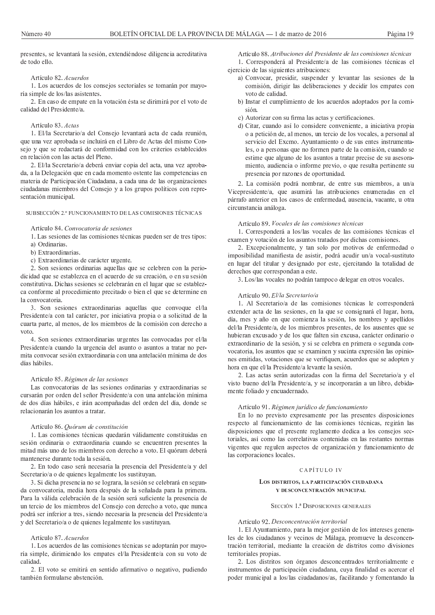presentes, se levantará la sesión, extendiéndose diligencia acreditativa de todo ello.

# Artículo 82. Acuerdos

1. Los acuerdos de los consejos sectoriales se tomarán por mayoría simple de los/las asistentes.

2. En caso de empate en la votación ésta se dirimirá por el voto de calidad del Presidente/a

# Artículo 83. Actas

1. El/la Secretario/a del Consejo levantará acta de cada reunión. que una vez aprobada se incluirá en el Libro de Actas del mismo Consejo y que se redactará de conformidad con los criterios establecidos en relación con las actas del Pleno.

2. El/la Secretario/a deberá enviar copia del acta, una vez aprobada, a la Delegación que en cada momento ostente las competencias en materia de Participación Ciudadana, a cada una de las organizaciones ciudadanas miembros del Consejo y a los grupos políticos con representación municipal.

# SUBSECCIÓN 2.º FUNCIONAMIENTO DE LAS COMISIONES TÉCNICAS

#### Artículo 84. Convocatoria de sesiones

1. Las sesiones de las comisiones técnicas pueden ser de tres tipos: a) Ordinarias.

- b) Extraordinarias.
- 
- c) Extraordinarias de carácter urgente.

2. Son sesiones ordinarias aquellas que se celebren con la periodicidad que se establezca en el acuerdo de su creación, o en su sesión constitutiva. Dichas sesiones se celebrarán en el lugar que se establezca conforme al procedimiento precitado o bien el que se determine en la convocatoria.

3. Son sesiones extraordinarias aquellas que convoque el/la Presidente/a con tal carácter, por iniciativa propia o a solicitud de la cuarta parte, al menos, de los miembros de la comisión con derecho a voto.

4. Son sesiones extraordinarias urgentes las convocadas por el/la Presidente/a cuando la urgencia del asunto o asuntos a tratar no permita convocar sesión extraordinaria con una antelación mínima de dos días hábiles.

# Artículo 85. Régimen de las sesiones

Las convocatorias de las sesiones ordinarias y extraordinarias se cursarán por orden del señor Presidente/a con una antelación mínima de dos días hábiles, e irán acompañadas del orden del día, donde se relacionarán los asuntos a tratar.

# Artículo 86. Quórum de constitución

1. Las comisiones técnicas quedarán válidamente constituidas en sesión ordinaria o extraordinaria cuando se encuentren presentes la mitad más uno de los miembros con derecho a voto. El quórum deberá mantenerse durante toda la sesión

2. En todo caso será necesaria la presencia del Presidente/a y del Secretario/a o de quienes legalmente los sustituyan.

3. Si dicha presencia no se lograra, la sesión se celebrará en segunda convocatoria, media hora después de la señalada para la primera. Para la válida celebración de la sesión será suficiente la presencia de un tercio de los miembros del Consejo con derecho a voto, que nunca podrá ser inferior a tres, siendo necesaria la presencia del Presidente/a y del Secretario/a o de quienes legalmente los sustituyan.

#### Artículo 87 Acuerdos

1. Los acuerdos de las comisiones técnicas se adoptarán por mayoría simple, dirimiendo los empates el/la Presidente/a con su voto de calidad.

2. El voto se emitirá en sentido afirmativo o negativo, pudiendo también formularse abstención.

Artículo 88. Atribuciones del Presidente de las comisiones técnicas 1. Corresponderá al Presidente/a de las comisiones técnicas el ejercicio de las siguientes atribuciones:

- a) Convocar, presidir, suspender y levantar las sesiones de la comisión, dirigir las deliberaciones y decidir los empates con voto de calidad.
- b) Instar el cumplimiento de los acuerdos adoptados por la comisión
- c) Autorizar con su firma las actas y certificaciones.
- d) Citar, cuando así lo considere conveniente, a iniciativa propia o a petición de, al menos, un tercio de los vocales, a personal al servicio del Excmo. Ayuntamiento o de sus entes instrumentales, o a personas que no formen parte de la comisión, cuando se estime que alguno de los asuntos a tratar precise de su asesoramiento, audiencia o informe previo, o que resulta pertinente su presencia por razones de oportunidad.

2. La comisión podrá nombrar, de entre sus miembros, a un/a Vicepresidente/a, que asumirá las atribuciones enumeradas en el párrafo anterior en los casos de enfermedad, ausencia, vacante, u otra circunstancia análoga.

# Artículo 89. Vocales de las comisiones técnicas

1. Corresponderá a los/las vocales de las comisiones técnicas el examen y votación de los asuntos tratados por dichas comisiones.

2. Excepcionalmente, y tan solo por motivos de enfermedad o imposibilidad manifiesta de asistir, podrá acudir un/a vocal-sustituto en lugar del titular y designado por este, ejercitando la totalidad de derechos que correspondan a este.

3. Los/las vocales no podrán tampoco delegar en otros vocales.

# Artículo 90. El/la Secretario/a

1. Al Secretario/a de las comisiones técnicas le corresponderá extender acta de las sesiones, en la que se consignará el lugar, hora, día, mes y año en que comienza la sesión, los nombres y apellidos del/la Presidente/a, de los miembros presentes, de los ausentes que se hubieran excusado y de los que falten sin excusa, carácter ordinario o extraordinario de la sesión, y si se celebra en primera o segunda convocatoria, los asuntos que se examinen y sucinta expresión las opiniones emitidas, votaciones que se verifiquen, acuerdos que se adopten y hora en que el/la Presidente/a levante la sesión.

2. Las actas serán autorizadas con la firma del Secretario/a y el visto bueno del/la Presidente/a, y se incorporarán a un libro, debidamente foliado y encuadernado.

#### Artículo 91. Régimen jurídico de funcionamiento

En lo no previsto expresamente por las presentes disposiciones respecto al funcionamiento de las comisiones técnicas, regirán las disposiciones que el presente reglamento dedica a los consejos sectoriales, así como las correlativas contenidas en las restantes normas vigentes que regulen aspectos de organización y funcionamiento de las corporaciones locales.

# CAPÍTULO IV

## LOS DISTRITOS, LA PARTICIPACIÓN CIUDADANA Y DESCONCENTRACIÓN MUNICIPAL

# SECCIÓN 1.ª DISPOSICIONES GENERALES

# Artículo 92. Desconcentración territorial

1. El Ayuntamiento, para la mejor gestión de los intereses generales de los ciudadanos y vecinos de Málaga, promueve la desconcentración territorial, mediante la creación de distritos como divisiones territoriales propias.

2. Los distritos son órganos desconcentrados territorialmente e instrumentos de participación ciudadana, cuya finalidad es acercar el poder municipal a los/las ciudadanos/as, facilitando y fomentando la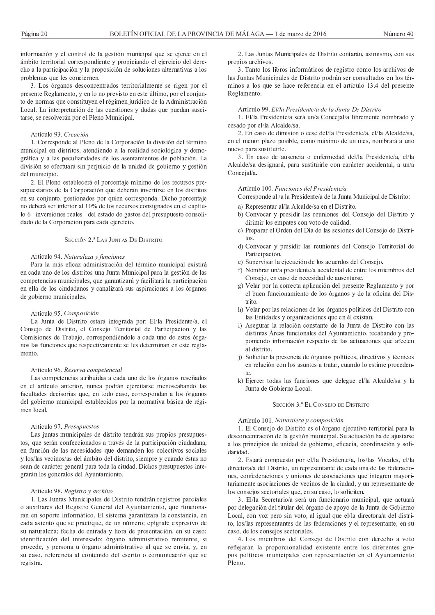información y el control de la gestión municipal que se ejerce en el ámbito territorial correspondiente y propiciando el ejercicio del derecho a la participación y la proposición de soluciones alternativas a los problemas que les conciernen.

3. Los órganos desconcentrados territorialmente se rigen por el presente Reglamento, y en lo no previsto en este último, por el conjunto de normas que constituyen el régimen jurídico de la Administración Local. La interpretación de las cuestiones y dudas que puedan suscitarse, se resolverán por el Pleno Municipal.

# Artículo 93. Creación

1. Corresponde al Pleno de la Corporación la división del término municipal en distritos, atendiendo a la realidad sociológica y demográfica y a las peculiaridades de los asentamientos de población. La división se efectuará sin perjuicio de la unidad de gobierno y gestión del municipio.

2. El Pleno establecerá el porcentaje mínimo de los recursos presupuestarios de la Corporación que deberán invertirse en los distritos en su conjunto, gestionados por quien corresponda. Dicho porcentaje no deberá ser inferior al 10% de los recursos consignados en el capítulo 6-inversiones reales- del estado de gastos del presupuesto consolidado de la Corporación para cada ejercicio.

# SECCIÓN 2.ª LAS JUNTAS DE DISTRITO

#### Artículo 94. Naturaleza y funciones

Para la más eficaz administración del término municipal existirá en cada uno de los distritos una Junta Municipal para la gestión de las competencias municipales, que garantizará y facilitará la participación en ella de los ciudadanos y canalizará sus aspiraciones a los órganos de gobierno municipales.

#### Artículo 95. Composición

La Junta de Distrito estará integrada por: El/la Presidente/a, el Consejo de Distrito, el Consejo Territorial de Participación y las Comisiones de Trabajo, correspondiéndole a cada uno de estos órganos las funciones que respectivamente se les determinan en este reglamento.

#### Artículo 96. Reserva competencial

Las competencias atribuidas a cada uno de los órganos reseñados en el artículo anterior, nunca podrán ejercitarse menoscabando las facultades decisorias que, en todo caso, correspondan a los órganos del gobierno municipal establecidos por la normativa básica de régimen local.

# Artículo 97. Presupuestos

Las juntas municipales de distrito tendrán sus propios presupuestos, que serán confeccionados a través de la participación ciudadana, en función de las necesidades que demanden los colectivos sociales y los/las vecinos/as del ámbito del distrito, siempre y cuando éstas no sean de carácter general para toda la ciudad. Dichos presupuestos integrarán los generales del Ayuntamiento.

# Artículo 98. Registro y archivo

1. Las Juntas Municipales de Distrito tendrán registros parciales o auxiliares del Registro General del Ayuntamiento, que funcionarán en soporte informático. El sistema garantizará la constancia, en cada asiento que se practique, de un número; epígrafe expresivo de su naturaleza; fecha de entrada y hora de presentación, en su caso; identificación del interesado; órgano administrativo remitente, si procede, y persona u órgano administrativo al que se envía, y, en su caso, referencia al contenido del escrito o comunicación que se registra.

2. Las Juntas Municipales de Distrito contarán, asimismo, con sus propios archivos.

3. Tanto los libros informáticos de registro como los archivos de las Juntas Municipales de Distrito podrán ser consultados en los términos a los que se hace referencia en el artículo 13.4 del presente Reglamento.

#### Artículo 99. El/la Presidente/a de la Junta De Distrito

1. El/la Presidente/a será un/a Concejal/a libremente nombrado y cesado por el/la Alcalde/sa.

2. En caso de dimisión o cese del/la Presidente/a, el/la Alcalde/sa, en el menor plazo posible, como máximo de un mes, nombrará a uno nuevo para sustituirle.

3. En caso de ausencia o enfermedad del/la Presidente/a, el/la Alcalde/sa designará, para sustituirle con carácter accidental, a un/a Concejal/a.

#### Artículo 100. Funciones del Presidente/a

Corresponde al /a la Presidente/a de la Junta Municipal de Distrito:

- a) Representar al/la Alcalde/sa en el Distrito.
- b) Convocar y presidir las reuniones del Consejo del Distrito y dirimir los empates con voto de calidad.
- c) Preparar el Orden del Día de las sesiones del Consejo de Distri- $\cos$
- d) Convocar y presidir las reuniones del Consejo Territorial de Participación.
- e) Supervisar la ejecución de los acuerdos del Consejo.
- f) Nombrar un/a presidente/a accidental de entre los miembros del Consejo, en caso de necesidad de ausentarse.
- g) Velar por la correcta aplicación del presente Reglamento y por el buen funcionamiento de los órganos y de la oficina del Distrito
- h) Velar por las relaciones de los órganos políticos del Distrito con las Entidades y organizaciones que en él existan.
- i) Asegurar la relación constante de la Junta de Distrito con las distintas Áreas funcionales del Ayuntamiento, recabando y proponiendo información respecto de las actuaciones que afecten al distrito.
- j) Solicitar la presencia de órganos políticos, directivos y técnicos en relación con los asuntos a tratar, cuando lo estime proceden-
- k) Ejercer todas las funciones que delegue el/la Alcalde/sa y la Junta de Gobierno Local.

# SECCIÓN 3.ª EL CONSEJO DE DISTRITO

## Artículo 101. Naturaleza y composición

1. El Consejo de Distrito es el órgano ejecutivo territorial para la desconcentración de la gestión municipal. Su actuación ha de ajustarse a los principios de unidad de gobierno, eficacia, coordinación y solidaridad.

2. Estará compuesto por el/la Presidente/a, los/las Vocales, el/la directora/a del Distrito, un representante de cada una de las federaciones, confederaciones y uniones de asociaciones que integren mayoritariamente asociaciones de vecinos de la ciudad, y un representante de los consejos sectoriales que, en su caso, lo soliciten.

3. El/la Secretario/a será un funcionario municipal, que actuará por delegación del titular del órgano de apoyo de la Junta de Gobierno Local, con voz pero sin voto, al igual que el/la directora/a del distrito, los/las representantes de las federaciones y el representante, en su caso, de los consejos sectoriales.

4. Los miembros del Consejo de Distrito con derecho a voto reflejarán la proporcionalidad existente entre los diferentes grupos políticos municipales con representación en el Ayuntamiento Pleno.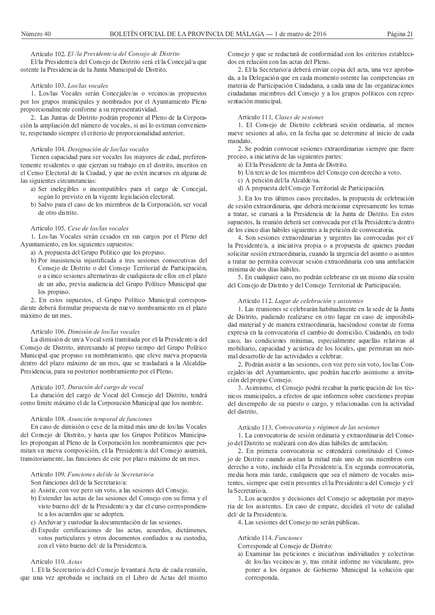Artículo 102. El /la Presidente/a del Consejo de Distrito El/la Presidente/a del Consejo de Distrito será el/la Concejal/a que ostente la Presidencia de la Junta Municipal de Distrito.

#### Artículo 103 Los/las vocales

1. Los/las Vocales serán Concejales/as o vecinos/as propuestos por los grupos municipales y nombrados por el Ayuntamiento Pleno proporcionalmente conforme a su representatividad.

2. Las Juntas de Distrito podrán proponer al Pleno de la Corporación la ampliación del número de vocales, si así lo estiman conveniente, respetando siempre el criterio de proporcionalidad anterior.

#### Artículo 104. Designación de los/las vocales

Tienen capacidad para ser vocales los mayores de edad, preferentemente residentes o que ejerzan su trabajo en el distrito, inscritos en el Censo Electoral de la Ciudad, y que no estén incursos en alguna de las siguientes circunstancias:

- a) Ser inelegibles o incompatibles para el cargo de Concejal, según lo previsto en la vigente legislación electoral.
- b) Salvo para el caso de los miembros de la Corporación, ser vocal de otro distrito.

# Artículo 105. Cese de los/las vocales

1. Los/las Vocales serán cesados en sus cargos por el Pleno del Ayuntamiento, en los siguientes supuestos:

- a) A propuesta del Grupo Político que los propuso.
- b) Por inasistencia injustificada a tres sesiones consecutivas del Consejo de Distrito o del Consejo Territorial de Participación, o a cinco sesiones alternativas de cualquiera de ellos en el plazo de un año, previa audiencia del Grupo Político Municipal que los propuso.

2. En estos supuestos, el Grupo Político Municipal correspondiente deberá formular propuesta de nuevo nombramiento en el plazo máximo de un mes.

# Artículo 106. Dimisión de los/las vocales

La dimisión de un/a Vocal será tramitada por el/la Presidente/a del Consejo de Distrito, interesando al propio tiempo del Grupo Político Municipal que propuso su nombramiento, que eleve nueva propuesta dentro del plazo máximo de un mes, que se trasladará a la Alcaldía-Presidencia, para su posterior nombramiento por el Pleno.

# Artículo 107. Duración del cargo de vocal

La duración del cargo de Vocal del Consejo del Distrito, tendrá como límite máximo el de la Corporación Municipal que los nombre.

# Artículo 108. Asunción temporal de funciones

En caso de dimisión o cese de la mitad más uno de los/las Vocales del Consejo de Distrito, y hasta que los Grupos Políticos Municipales propongan al Pleno de la Corporación los nombramientos que permitan su nueva composición, el/la Presidente/a del Consejo asumirá, transitoriamente, las funciones de este por plazo máximo de un mes.

# Artículo 109 Funciones del/de la Secretario/a

#### Son funciones del/de la Secretario/a:

- a) Asistir, con voz pero sin voto, a las sesiones del Consejo.
- b) Extender las actas de las sesiones del Consejo con su firma y el visto bueno del/ de la Presidente/a y dar el curso correspondiente a los acuerdos que se adopten.
- c) Archivar y custodiar la documentación de las sesiones.
- d) Expedir certificaciones de las actas, acuerdos, dictámenes, votos particulares y otros documentos confiados a su custodia, con el visto bueno del/ de la Presidente/a.

# Artículo 110. Actas

1. El/la Secretario/a del Consejo levantará Acta de cada reunión, que una vez aprobada se incluirá en el Libro de Actas del mismo Consejo y que se redactará de conformidad con los criterios establecidos en relación con las actas del Pleno.

2. El/la Secretario/a deberá enviar copia del acta, una vez aprobada, a la Delegación que en cada momento ostente las competencias en materia de Participación Ciudadana, a cada una de las organizaciones ciudadanas miembros del Consejo y a los grupos políticos con representación municipal.

# Artículo 111. Clases de sesiones

1. El Consejo de Distrito celebrará sesión ordinaria, al menos nueve sesiones al año, en la fecha que se determine al inicio de cada mandato.

2. Se podrán convocar sesiones extraordinarias siempre que fuere preciso, a iniciativa de las siguientes partes:

- a) El/la Presidente de la Junta de Distrito.
- b) Un tercio de los miembros del Consejo con derecho a voto.
- c) A petición del/la Alcalde/sa.
- d) A propuesta del Consejo Territorial de Participación.

3. En los tres últimos casos precitados, la propuesta de celebración de sesión extraordinaria, que deberá mencionar expresamente los temas a tratar, se cursará a la Presidencia de la Junta de Distrito. En estos supuestos, la reunión deberá ser convocada por el/la Presidente/a dentro de los cinco días hábiles siguientes a la petición de convocatoria.

4. Son sesiones extraordinarias y urgentes las convocadas por el/ la Presidente/a, a iniciativa propia o a propuesta de quienes puedan solicitar sesión extraordinaria, cuando la urgencia del asunto o asuntos a tratar no permita convocar sesión extraordinaria con una antelación mínima de dos días hábiles.

5. En cualquier caso, no podrán celebrarse en un mismo día sesión del Consejo de Distrito y del Consejo Territorial de Participación.

# Artículo 112. Lugar de celebración y asistentes

1. Las reuniones se celebrarán habitualmente en la sede de la Junta de Distrito, pudiendo realizarse en otro lugar en caso de imposibilidad material y de manera extraordinaria, haciéndose constar de forma expresa en la convocatoria el cambio de domicilio. Cuidando, en todo caso, las condiciones mínimas, especialmente aquellas relativas al mobiliario, capacidad y acústica de los locales, que permitan un normal desarrollo de las actividades a celebrar.

2. Podrán asistir a las sesiones, con voz pero sin voto, los/las Concejales/as del Ayuntamiento, que podrán hacerlo asimismo a invitación del propio Consejo.

3. Asimismo, el Consejo podrá recabar la participación de los técnicos municipales, a efectos de que informen sobre cuestiones propias del desempeño de su puesto o cargo, y relacionadas con la actividad del distrito.

# Artículo 113. Convocatoria y régimen de las sesiones

1. La convocatoria de sesión ordinaria y extraordinaria del Consejo del Distrito se realizará con dos días hábiles de antelación.

2. En primera convocatoria se entenderá constituido el Consejo de Distrito cuando asistan la mitad más uno de sus miembros con derecho a voto, incluido el/la Presidente/a. En segunda convocatoria, media hora más tarde, cualquiera que sea el número de vocales asistentes, siempre que estén presentes el/la Presidente/a del Consejo y el/ la Secretario/a.

3. Los acuerdos y decisiones del Consejo se adoptarán por mayoría de los asistentes. En caso de empate, decidirá el voto de calidad del/ de la Presidente/a.

4. Las sesiones del Consejo no serán públicas.

# Artículo 114. Funciones

Corresponde al Consejo de Distrito:

a) Examinar las peticiones e iniciativas individuales y colectivas de los/las vecinos/as y, tras emitir informe no vinculante, proponer a los órganos de Gobierno Municipal la solución que corresponda.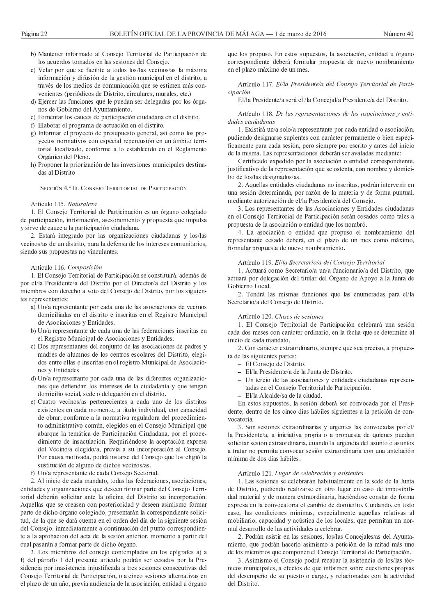- b) Mantener informado al Consejo Territorial de Participación de los acuerdos tomados en las sesiones del Consejo.
- c) Velar por que se facilite a todos los/las vecinos/as la máxima información y difusión de la gestión municipal en el distrito, a través de los medios de comunicación que se estimen más convenientes (periódicos de Distrito, circulares, murales, etc.)
- d) Ejercer las funciones que le puedan ser delegadas por los órganos de Gobierno del Ayuntamiento.
- e) Fomentar los cauces de participación ciudadana en el distrito.
- f) Elaborar el programa de actuación en el distrito.
- g) Informar el proyecto de presupuesto general, así como los proyectos normativos con especial repercusión en un ámbito territorial localizado, conforme a lo establecido en el Reglamento Orgánico del Pleno.
- h) Proponer la priorización de las inversiones municipales destinadas al Distrito

SECCIÓN 4.ª EL CONSEJO TERRITORIAL DE PARTICIPACIÓN

#### Artículo 115. Naturaleza

1. El Consejo Territorial de Participación es un órgano colegiado de participación, información, asesoramiento y propuesta que impulsa y sirve de cauce a la participación ciudadana.

2. Estará integrado por las organizaciones ciudadanas y los/las vecinos/as de un distrito, para la defensa de los intereses comunitarios, siendo sus propuestas no vinculantes.

# Artículo 116. Composición

1. El Consejo Territorial de Participación se constituirá, además de por el/la Presidente/a del Distrito por el Director/a del Distrito y los miembros con derecho a voto del Consejo de Distrito, por los siguientes representantes:

- a) Un/a representante por cada una de las asociaciones de vecinos domiciliadas en el distrito e inscritas en el Registro Municipal de Asociaciones y Entidades.
- b) Un/a representante de cada una de las federaciones inscritas en el Registro Municipal de Asociaciones y Entidades.
- c) Dos representantes del conjunto de las asociaciones de padres y madres de alumnos de los centros escolares del Distrito, elegidos entre ellas e inscritas en el registro Municipal de Asociaciones y Entidades
- d) Un/a representante por cada una de las diferentes organizaciones que defiendan los intereses de la ciudadanía y que tengan domicilio social, sede o delegación en el distrito.
- e) Cuatro vecinos/as pertenecientes a cada uno de los distritos existentes en cada momento, a título individual, con capacidad de obrar, conforme a la normativa reguladora del procedimiento administrativo común, elegidos en el Consejo Municipal que abarque la temática de Participación Ciudadana, por el procedimiento de insaculación. Requiriéndose la aceptación expresa del Vecino/a elegido/a, previa a su incorporación al Consejo. Por causa motivada, podrá instarse del Consejo que los eligió la sustitución de alguno de dichos vecinos/as.
- f) Un/a representante de cada Consejo Sectorial.

2. Al inicio de cada mandato, todas las federaciones, asociaciones, entidades y organizaciones que deseen formar parte del Consejo Territorial deberán solicitar ante la oficina del Distrito su incorporación. Aquellas que se creasen con posterioridad y deseen asimismo formar parte de dicho órgano colegiado, presentarán la correspondiente solicitud, de la que se dará cuenta en el orden del día de la siguiente sesión del Consejo, inmediatamente a continuación del punto correspondiente a la aprobación del acta de la sesión anterior, momento a partir del cual pasarán a formar parte de dicho órgano.

3. Los miembros del consejo contemplados en los epígrafes a) a f) del párrafo 1 del presente artículo podrán ser cesados por la Presidencia por inasistencia injustificada a tres sesiones consecutivas del Consejo Territorial de Participación, o a cinco sesiones alternativas en el plazo de un año, previa audiencia de la asociación, entidad u órgano

que los propuso. En estos supuestos, la asociación, entidad u órgano correspondiente deberá formular propuesta de nuevo nombramiento en el plazo máximo de un mes.

Artículo 117. El/la Presidente/a del Consejo Territorial de Participación

El/la Presidente/a será el /la Concejal/a Presidente/a del Distrito.

Artículo 118. De las representaciones de las asociaciones y entidades ciudadanas

1. Existirá un/a solo/a representante por cada entidad o asociación, pudiendo designarse suplentes con carácter permanente o bien específicamente para cada sesión, pero siempre por escrito y antes del inicio de la misma. Las representaciones deberán ser avaladas mediante:

Certificado expedido por la asociación o entidad correspondiente, justificativo de la representación que se ostenta, con nombre y domicilio de los/las designados/as

2. Aquellas entidades ciudadanas no inscritas, podrán intervenir en una sesión determinada, por razón de la materia y de forma puntual, mediante autorización de el/la Presidente/a del Consejo.

3. Los representantes de las Asociaciones y Entidades ciudadanas en el Consejo Territorial de Participación serán cesados como tales a propuesta de la asociación o entidad que los nombró.

4. La asociación o entidad que propuso el nombramiento del representante cesado deberá, en el plazo de un mes como máximo, formular propuesta de nuevo nombramiento.

# Artículo 119. El/la Secretario/a del Consejo Territorial

1. Actuará como Secretario/a un/a funcionario/a del Distrito, que actuará por delegación del titular del Órgano de Apoyo a la Junta de Gobierno Local.

2. Tendrá las mismas funciones que las enumeradas para el/la Secretario/a del Consejo de Distrito.

# Artículo 120. Clases de sesiones

1. El Consejo Territorial de Participación celebrará una sesión cada dos meses con carácter ordinario, en la fecha que se determine al inicio de cada mandato.

2. Con carácter extraordinario, siempre que sea preciso, a propuesta de las siguientes partes:

- El Consejo de Distrito.
- El/la Presidente/a de la Junta de Distrito.
- Un tercio de las asociaciones y entidades ciudadanas representadas en el Consejo Territorial de Participación.
- El/la Alcalde/sa de la ciudad.

En estos supuestos, la sesión deberá ser convocada por el Presidente, dentro de los cinco días hábiles siguientes a la petición de convocatoria.

3. Son sesiones extraordinarias y urgentes las convocadas por el/ la Presidente/a, a iniciativa propia o a propuesta de quienes puedan solicitar sesión extraordinaria, cuando la urgencia del asunto o asuntos a tratar no permita convocar sesión extraordinaria con una antelación mínima de dos días hábiles.

## Artículo 121. Lugar de celebración y asistentes

1. Las sesiones se celebrarán habitualmente en la sede de la Junta de Distrito, pudiendo realizarse en otro lugar en caso de imposibilidad material y de manera extraordinaria, haciéndose constar de forma expresa en la convocatoria el cambio de domicilio. Cuidando, en todo caso, las condiciones mínimas, especialmente aquellas relativas al mobiliario, capacidad y acústica de los locales, que permitan un normal desarrollo de las actividades a celebrar.

2. Podrán asistir en las sesiones, los/las Concejales/as del Ayuntamiento, que podrán hacerlo asimismo a petición de la mitad más uno de los miembros que componen el Consejo Territorial de Participación.

3. Asimismo el Consejo podrá recabar la asistencia de los/las técnicos municipales, a efectos de que informen sobre cuestiones propias del desempeño de su puesto o cargo, y relacionadas con la actividad del Distrito.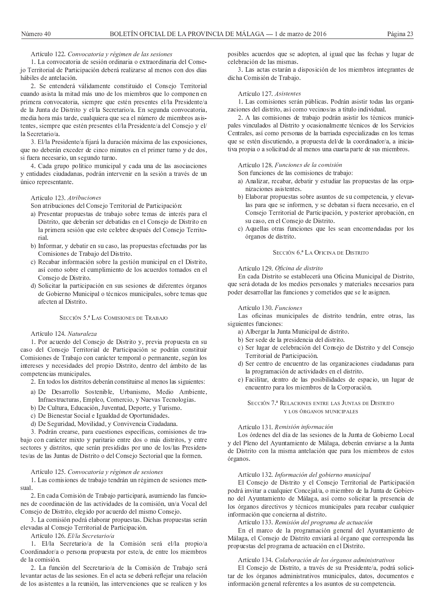#### Artículo 122. Convocatoria y régimen de las sesiones

1. La convocatoria de sesión ordinaria o extraordinaria del Consejo Territorial de Participación deberá realizarse al menos con dos días hábiles de antelación

2. Se entenderá válidamente constituido el Consejo Territorial cuando asista la mitad más uno de los miembros que lo componen en primera convocatoria, siempre que estén presentes el/la Presidente/a de la Junta de Distrito y el/la Secretario/a. En segunda convocatoria, media hora más tarde, cualquiera que sea el número de miembros asistentes, siempre que estén presentes el/la Presidente/a del Consejo y el/ la Secretario/a

3. El/la Presidente/a fijará la duración máxima de las exposiciones, que no deberán exceder de cinco minutos en el primer turno y de dos, si fuera necesario, un segundo turno.

4. Cada grupo político municipal y cada una de las asociaciones y entidades ciudadanas, podrán intervenir en la sesión a través de un único representante.

## Artículo 123. Atribuciones

Son atribuciones del Consejo Territorial de Participación:

- a) Presentar propuestas de trabajo sobre temas de interés para el Distrito, que deberán ser debatidas en el Consejo de Distrito en la primera sesión que este celebre después del Consejo Territorial
- b) Informar, y debatir en su caso, las propuestas efectuadas por las Comisiones de Trabajo del Distrito.
- c) Recabar información sobre la gestión municipal en el Distrito, así como sobre el cumplimiento de los acuerdos tomados en el Consejo de Distrito.
- d) Solicitar la participación en sus sesiones de diferentes órganos de Gobierno Municipal o técnicos municipales, sobre temas que afecten al Distrito.

# SECCIÓN 5<sup>ª</sup> LAS COMISIONES DE TRABAJO

# Artículo 124. Naturaleza

1. Por acuerdo del Consejo de Distrito y, previa propuesta en su caso del Consejo Territorial de Participación se podrán constituir Comisiones de Trabajo con carácter temporal o permanente, según los intereses y necesidades del propio Distrito, dentro del ámbito de las competencias municipales.

2. En todos los distritos deberán constituirse al menos las siguientes:

- a) De Desarrollo Sostenible, Urbanismo, Medio Ambiente, Infraestructuras, Empleo, Comercio, y Nuevas Tecnologías.
- b) De Cultura, Educación, Juventud, Deporte, y Turismo.
- c) De Bienestar Social e Igualdad de Oportunidades.
- d) De Seguridad, Movilidad, y Convivencia Ciudadana.

3. Podrán crearse, para cuestiones específicas, comisiones de trabajo con carácter mixto y paritario entre dos o más distritos, y entre sectores y distritos, que serán presididas por uno de los/las Presidentes/as de las Juntas de Distrito o del Consejo Sectorial que la formen.

# Artículo 125. Convocatoria y régimen de sesiones

1. Las comisiones de trabajo tendrán un régimen de sesiones men $s<sub>11a</sub>1$ 

2. En cada Comisión de Trabajo participará, asumiendo las funciones de coordinación de las actividades de la comisión, un/a Vocal del Consejo de Distrito, elegido por acuerdo del mismo Consejo.

3. La comisión podrá elaborar propuestas. Dichas propuestas serán elevadas al Consejo Territorial de Participación.

Artículo 126. El/la Secretario/a

1. El/la Secretario/a de la Comisión será el/la propio/a Coordinador/a o persona propuesta por este/a, de entre los miembros de la comisión.

2. La función del Secretario/a de la Comisión de Trabajo será levantar actas de las sesiones. En el acta se deberá reflejar una relación de los asistentes a la reunión, las intervenciones que se realicen y los posibles acuerdos que se adopten, al igual que las fechas y lugar de celebración de las mismas.

3. Las actas estarán a disposición de los miembros integrantes de dicha Comisión de Trabajo.

#### Artículo 127. Asistentes

1. Las comisiones serán públicas. Podrán asistir todas las organizaciones del distrito, así como vecinos/as a título individual.

2. A las comisiones de trabajo podrán asistir los técnicos municipales vinculados al Distrito y ocasionalmente técnicos de los Servicios Centrales, así como personas de la barriada especializadas en los temas que se estén discutiendo, a propuesta del/de la coordinador/a, a iniciativa propia o a solicitud de al menos una cuarta parte de sus miembros.

# Artículo 128 Funciones de la comisión

Son funciones de las comisiones de trabajo:

- a) Analizar, recabar, debatir y estudiar las propuestas de las organizaciones asistentes.
- b) Elaborar propuestas sobre asuntos de su competencia, y elevarlas para que se informen, y se debatan si fuera necesario, en el Consejo Territorial de Participación, y posterior aprobación, en su caso, en el Consejo de Distrito.
- c) Aquellas otras funciones que les sean encomendadas por los órganos de distrito.

## SECCIÓN 6.ª LA OFICINA DE DISTRITO

# Artículo 129. Oficina de distrito

En cada Distrito se establecerá una Oficina Municipal de Distrito, que será dotada de los medios personales y materiales necesarios para poder desarrollar las funciones y cometidos que se le asignen.

# Artículo 130. Funciones

Las oficinas municipales de distrito tendrán, entre otras, las siguientes funciones:

- a) Albergar la Junta Municipal de distrito.
- b) Ser sede de la presidencia del distrito.
- c) Ser lugar de celebración del Consejo de Distrito y del Consejo Territorial de Participación.
- d) Ser centro de encuentro de las organizaciones ciudadanas para la programación de actividades en el distrito.
- e) Facilitar, dentro de las posibilidades de espacio, un lugar de encuentro para los miembros de la Corporación.

SECCIÓN 7.ª RELACIONES ENTRE LAS JUNTAS DE DISTRITO Y LOS ÓRGANOS MUNICIPALES

# Artículo 131. Remisión información

Los órdenes del día de las sesiones de la Junta de Gobierno Local y del Pleno del Ayuntamiento de Málaga, deberán enviarse a la Junta de Distrito con la misma antelación que para los miembros de estos órganos.

# Artículo 132. Información del gobierno municipal

El Consejo de Distrito y el Consejo Territorial de Participación podrá invitar a cualquier Concejal/a, o miembro de la Junta de Gobierno del Ayuntamiento de Málaga, así como solicitar la presencia de los órganos directivos y técnicos municipales para recabar cualquier información que concierna al distrito.

# Artículo 133. Remisión del programa de actuación

En el marco de la programación general del Ayuntamiento de Málaga, el Consejo de Distrito enviará al órgano que corresponda las propuestas del programa de actuación en el Distrito.

# Artículo 134. Colaboración de los órganos administrativos

El Consejo de Distrito, a través de su Presidente/a, podrá solicitar de los órganos administrativos municipales, datos, documentos e información general referentes a los asuntos de su competencia.